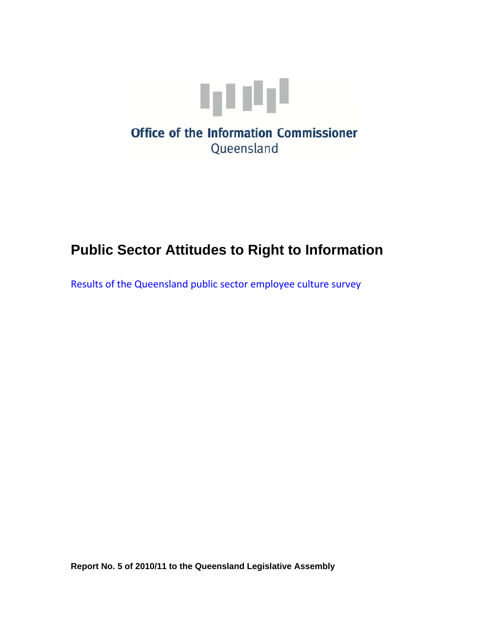

# **Public Sector Attitudes to Right to Information**

Results of the Queensland public sector employee culture survey

**Report No. 5 of 2010/11 to the Queensland Legislative Assembly**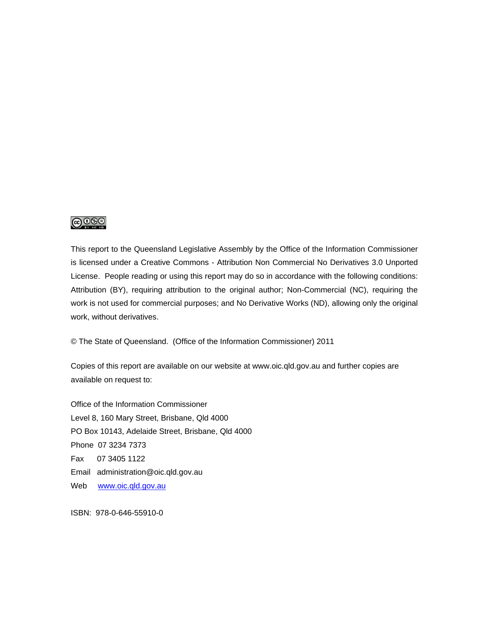### ெ⊛

This report to the Queensland Legislative Assembly by the Office of the Information Commissioner is licensed under a Creative Commons - Attribution Non Commercial No Derivatives 3.0 Unported License. People reading or using this report may do so in accordance with the following conditions: Attribution (BY), requiring attribution to the original author; Non-Commercial (NC), requiring the work is not used for commercial purposes; and No Derivative Works (ND), allowing only the original work, without derivatives.

© The State of Queensland. (Office of the Information Commissioner) 2011

Copies of this report are available on our website at www.oic.qld.gov.au and further copies are available on request to:

Office of the Information Commissioner Level 8, 160 Mary Street, Brisbane, Qld 4000 PO Box 10143, Adelaide Street, Brisbane, Qld 4000 Phone 07 3234 7373 Fax 07 3405 1122 Email administration@oic.qld.gov.au Web www.oic.qld.gov.au

ISBN: 978-0-646-55910-0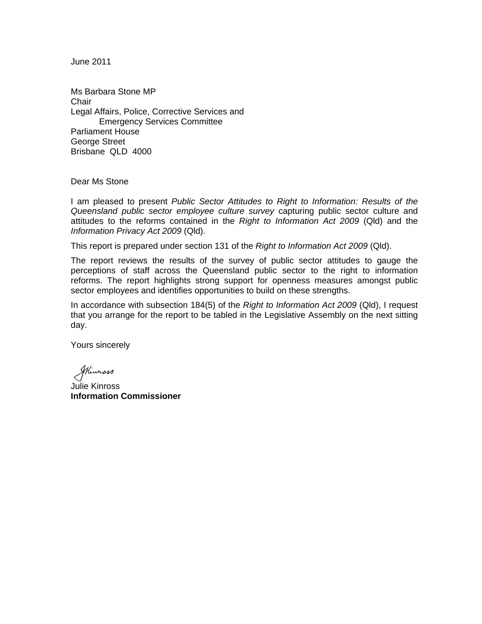June 2011

Ms Barbara Stone MP **Chair** Legal Affairs, Police, Corrective Services and Emergency Services Committee Parliament House George Street Brisbane QLD 4000

Dear Ms Stone

I am pleased to present *Public Sector Attitudes to Right to Information: Results of the Queensland public sector employee culture survey* capturing public sector culture and attitudes to the reforms contained in the *Right to Information Act 2009* (Qld) and the *Information Privacy Act 2009* (Qld).

This report is prepared under section 131 of the *Right to Information Act 2009* (Qld).

The report reviews the results of the survey of public sector attitudes to gauge the perceptions of staff across the Queensland public sector to the right to information reforms. The report highlights strong support for openness measures amongst public sector employees and identifies opportunities to build on these strengths.

In accordance with subsection 184(5) of the *Right to Information Act 2009* (Qld), I request that you arrange for the report to be tabled in the Legislative Assembly on the next sitting day.

Yours sincerely

Skinnass

Julie Kinross **Information Commissioner**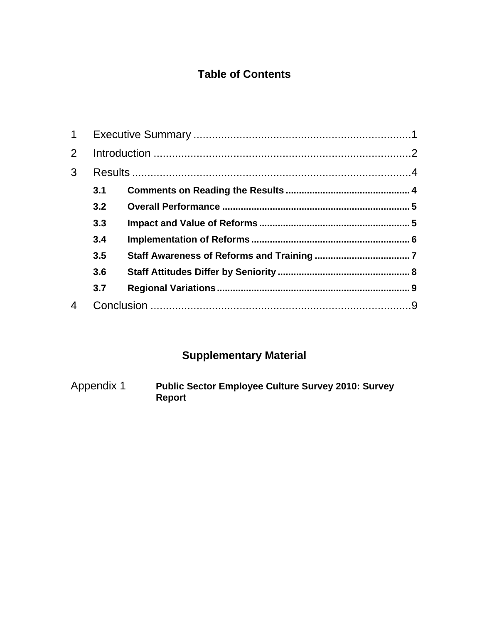### **Table of Contents**

| $\mathbf 1$    |     |  |  |
|----------------|-----|--|--|
| $\overline{2}$ |     |  |  |
| 3              |     |  |  |
|                | 3.1 |  |  |
|                | 3.2 |  |  |
|                | 3.3 |  |  |
|                | 3.4 |  |  |
|                | 3.5 |  |  |
|                | 3.6 |  |  |
|                | 3.7 |  |  |
|                |     |  |  |
|                |     |  |  |

# **Supplementary Material**

Appendix 1 **Public Sector Employee Culture Survey 2010: Survey Report**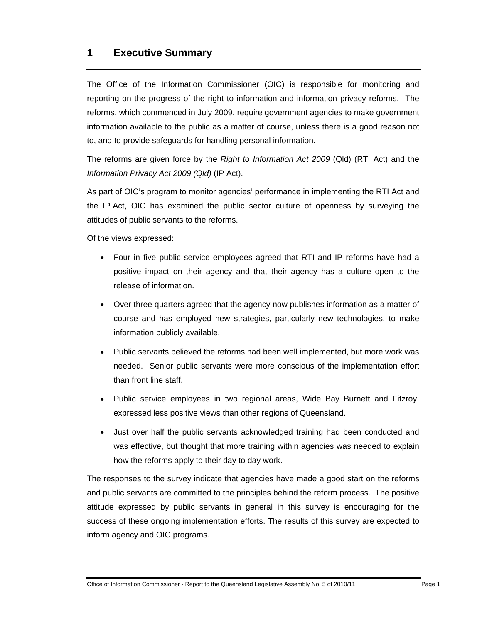### **1 Executive Summary**

The Office of the Information Commissioner (OIC) is responsible for monitoring and reporting on the progress of the right to information and information privacy reforms. The reforms, which commenced in July 2009, require government agencies to make government information available to the public as a matter of course, unless there is a good reason not to, and to provide safeguards for handling personal information.

The reforms are given force by the *Right to Information Act 2009* (Qld) (RTI Act) and the *Information Privacy Act 2009 (Qld)* (IP Act).

As part of OIC's program to monitor agencies' performance in implementing the RTI Act and the IP Act, OIC has examined the public sector culture of openness by surveying the attitudes of public servants to the reforms.

Of the views expressed:

- Four in five public service employees agreed that RTI and IP reforms have had a positive impact on their agency and that their agency has a culture open to the release of information.
- Over three quarters agreed that the agency now publishes information as a matter of course and has employed new strategies, particularly new technologies, to make information publicly available.
- Public servants believed the reforms had been well implemented, but more work was needed. Senior public servants were more conscious of the implementation effort than front line staff.
- Public service employees in two regional areas, Wide Bay Burnett and Fitzroy, expressed less positive views than other regions of Queensland.
- Just over half the public servants acknowledged training had been conducted and was effective, but thought that more training within agencies was needed to explain how the reforms apply to their day to day work.

The responses to the survey indicate that agencies have made a good start on the reforms and public servants are committed to the principles behind the reform process. The positive attitude expressed by public servants in general in this survey is encouraging for the success of these ongoing implementation efforts. The results of this survey are expected to inform agency and OIC programs.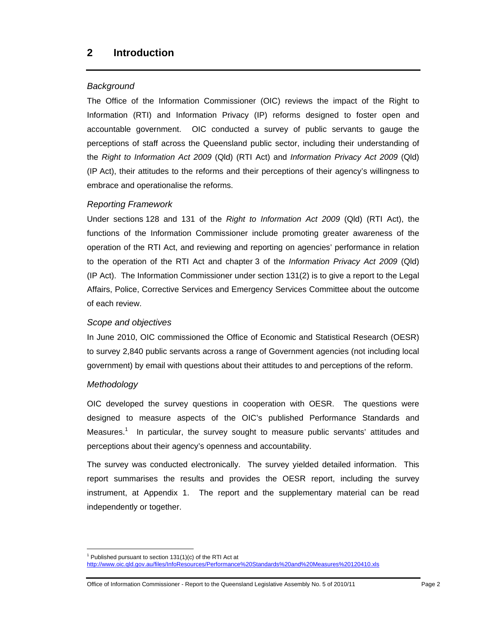### *Background*

The Office of the Information Commissioner (OIC) reviews the impact of the Right to Information (RTI) and Information Privacy (IP) reforms designed to foster open and accountable government. OIC conducted a survey of public servants to gauge the perceptions of staff across the Queensland public sector, including their understanding of the *Right to Information Act 2009* (Qld) (RTI Act) and *Information Privacy Act 2009* (Qld) (IP Act), their attitudes to the reforms and their perceptions of their agency's willingness to embrace and operationalise the reforms.

### *Reporting Framework*

Under sections 128 and 131 of the *Right to Information Act 2009* (Qld) (RTI Act), the functions of the Information Commissioner include promoting greater awareness of the operation of the RTI Act, and reviewing and reporting on agencies' performance in relation to the operation of the RTI Act and chapter 3 of the *Information Privacy Act 2009* (Qld) (IP Act). The Information Commissioner under section 131(2) is to give a report to the Legal Affairs, Police, Corrective Services and Emergency Services Committee about the outcome of each review.

#### *Scope and objectives*

In June 2010, OIC commissioned the Office of Economic and Statistical Research (OESR) to survey 2,840 public servants across a range of Government agencies (not including local government) by email with questions about their attitudes to and perceptions of the reform.

#### *Methodology*

 $\overline{a}$ 

OIC developed the survey questions in cooperation with OESR. The questions were designed to measure aspects of the OIC's published Performance Standards and Measures.<sup>1</sup> In particular, the survey sought to measure public servants' attitudes and perceptions about their agency's openness and accountability.

The survey was conducted electronically. The survey yielded detailed information. This report summarises the results and provides the OESR report, including the survey instrument, at Appendix 1. The report and the supplementary material can be read independently or together.

 $1$  Published pursuant to section 131(1)(c) of the RTI Act at

http://www.oic.qld.gov.au/files/InfoResources/Performance%20Standards%20and%20Measures%20120410.xls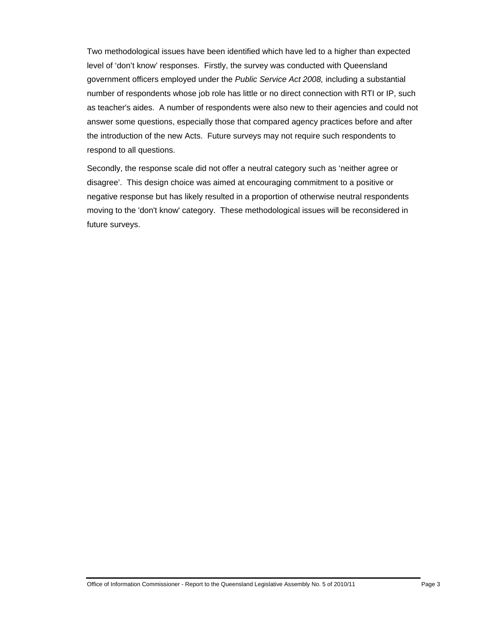Two methodological issues have been identified which have led to a higher than expected level of 'don't know' responses. Firstly, the survey was conducted with Queensland government officers employed under the *Public Service Act 2008,* including a substantial number of respondents whose job role has little or no direct connection with RTI or IP, such as teacher's aides. A number of respondents were also new to their agencies and could not answer some questions, especially those that compared agency practices before and after the introduction of the new Acts. Future surveys may not require such respondents to respond to all questions.

Secondly, the response scale did not offer a neutral category such as 'neither agree or disagree'. This design choice was aimed at encouraging commitment to a positive or negative response but has likely resulted in a proportion of otherwise neutral respondents moving to the 'don't know' category. These methodological issues will be reconsidered in future surveys.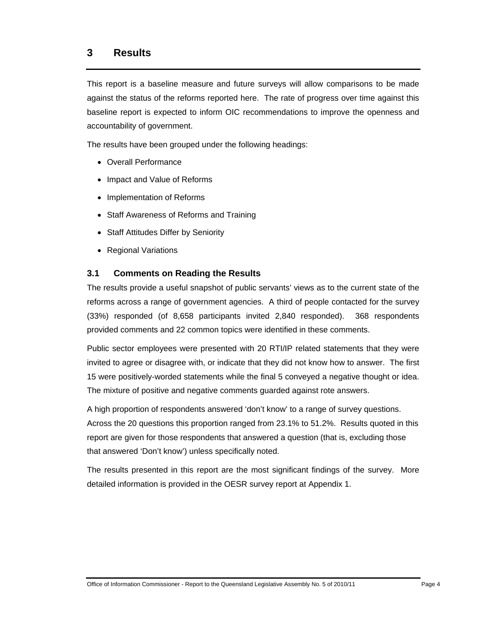### **3 Results**

This report is a baseline measure and future surveys will allow comparisons to be made against the status of the reforms reported here. The rate of progress over time against this baseline report is expected to inform OIC recommendations to improve the openness and accountability of government.

The results have been grouped under the following headings:

- Overall Performance
- Impact and Value of Reforms
- Implementation of Reforms
- Staff Awareness of Reforms and Training
- Staff Attitudes Differ by Seniority
- Regional Variations

### **3.1 Comments on Reading the Results**

The results provide a useful snapshot of public servants' views as to the current state of the reforms across a range of government agencies. A third of people contacted for the survey (33%) responded (of 8,658 participants invited 2,840 responded). 368 respondents provided comments and 22 common topics were identified in these comments.

Public sector employees were presented with 20 RTI/IP related statements that they were invited to agree or disagree with, or indicate that they did not know how to answer. The first 15 were positively-worded statements while the final 5 conveyed a negative thought or idea. The mixture of positive and negative comments guarded against rote answers.

A high proportion of respondents answered 'don't know' to a range of survey questions. Across the 20 questions this proportion ranged from 23.1% to 51.2%. Results quoted in this report are given for those respondents that answered a question (that is, excluding those that answered 'Don't know') unless specifically noted.

The results presented in this report are the most significant findings of the survey. More detailed information is provided in the OESR survey report at Appendix 1.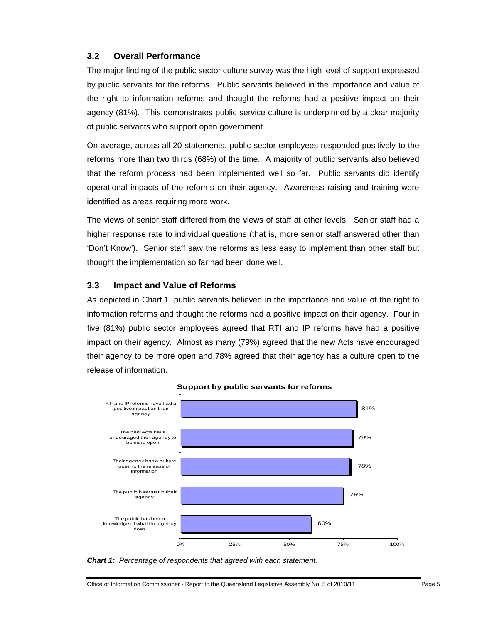### **3.2 Overall Performance**

The major finding of the public sector culture survey was the high level of support expressed by public servants for the reforms. Public servants believed in the importance and value of the right to information reforms and thought the reforms had a positive impact on their agency (81%). This demonstrates public service culture is underpinned by a clear majority of public servants who support open government.

On average, across all 20 statements, public sector employees responded positively to the reforms more than two thirds (68%) of the time. A majority of public servants also believed that the reform process had been implemented well so far. Public servants did identify operational impacts of the reforms on their agency. Awareness raising and training were identified as areas requiring more work.

The views of senior staff differed from the views of staff at other levels. Senior staff had a higher response rate to individual questions (that is, more senior staff answered other than 'Don't Know'). Senior staff saw the reforms as less easy to implement than other staff but thought the implementation so far had been done well.

### **3.3 Impact and Value of Reforms**

As depicted in Chart 1, public servants believed in the importance and value of the right to information reforms and thought the reforms had a positive impact on their agency. Four in five (81%) public sector employees agreed that RTI and IP reforms have had a positive impact on their agency. Almost as many (79%) agreed that the new Acts have encouraged their agency to be more open and 78% agreed that their agency has a culture open to the release of information.



**Support by public servants for reforms**

*Chart 1: Percentage of respondents that agreed with each statement.*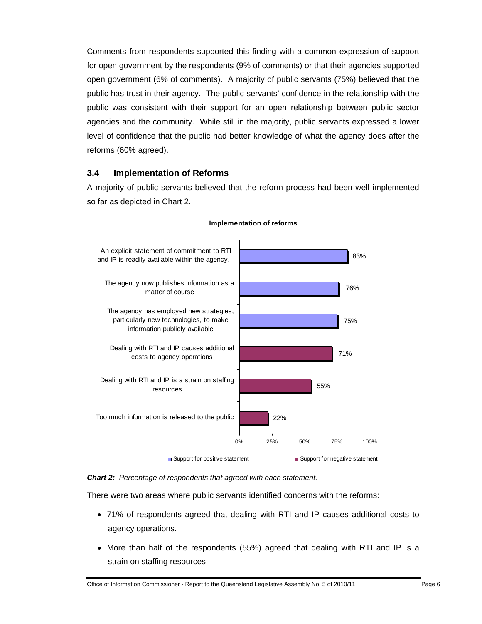Comments from respondents supported this finding with a common expression of support for open government by the respondents (9% of comments) or that their agencies supported open government (6% of comments). A majority of public servants (75%) believed that the public has trust in their agency. The public servants' confidence in the relationship with the public was consistent with their support for an open relationship between public sector agencies and the community. While still in the majority, public servants expressed a lower level of confidence that the public had better knowledge of what the agency does after the reforms (60% agreed).

#### **3.4 Implementation of Reforms**

A majority of public servants believed that the reform process had been well implemented so far as depicted in Chart 2.



#### **Implementation of reforms**

*Chart 2: Percentage of respondents that agreed with each statement.* 

There were two areas where public servants identified concerns with the reforms:

- 71% of respondents agreed that dealing with RTI and IP causes additional costs to agency operations.
- More than half of the respondents (55%) agreed that dealing with RTI and IP is a strain on staffing resources.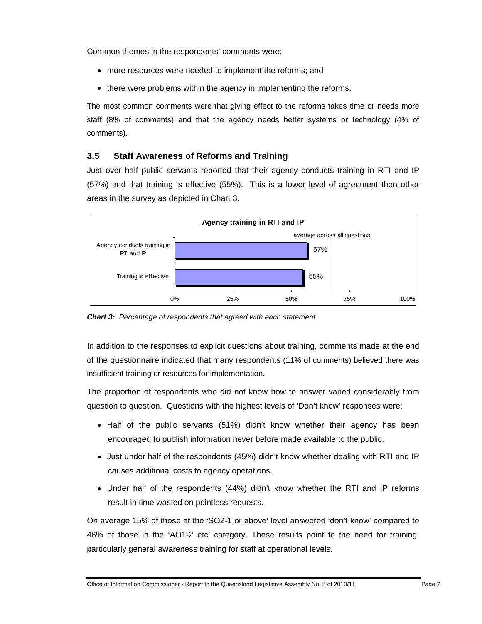Common themes in the respondents' comments were:

- more resources were needed to implement the reforms; and
- there were problems within the agency in implementing the reforms.

The most common comments were that giving effect to the reforms takes time or needs more staff (8% of comments) and that the agency needs better systems or technology (4% of comments).

### **3.5 Staff Awareness of Reforms and Training**

Just over half public servants reported that their agency conducts training in RTI and IP (57%) and that training is effective (55%). This is a lower level of agreement then other areas in the survey as depicted in Chart 3.



*Chart 3: Percentage of respondents that agreed with each statement.* 

In addition to the responses to explicit questions about training, comments made at the end of the questionnaire indicated that many respondents (11% of comments) believed there was insufficient training or resources for implementation.

The proportion of respondents who did not know how to answer varied considerably from question to question. Questions with the highest levels of 'Don't know' responses were:

- Half of the public servants (51%) didn't know whether their agency has been encouraged to publish information never before made available to the public.
- Just under half of the respondents (45%) didn't know whether dealing with RTI and IP causes additional costs to agency operations.
- Under half of the respondents (44%) didn't know whether the RTI and IP reforms result in time wasted on pointless requests.

On average 15% of those at the 'SO2-1 or above' level answered 'don't know' compared to 46% of those in the 'AO1-2 etc' category. These results point to the need for training, particularly general awareness training for staff at operational levels.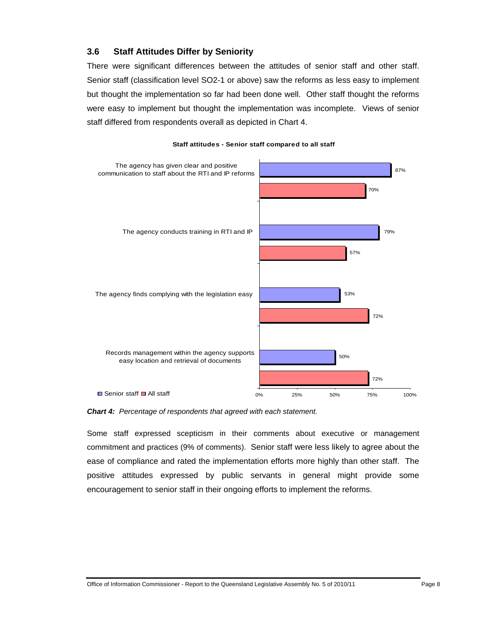### **3.6 Staff Attitudes Differ by Seniority**

There were significant differences between the attitudes of senior staff and other staff. Senior staff (classification level SO2-1 or above) saw the reforms as less easy to implement but thought the implementation so far had been done well. Other staff thought the reforms were easy to implement but thought the implementation was incomplete. Views of senior staff differed from respondents overall as depicted in Chart 4.



#### **Staff attitudes - Senior staff compared to all staff**

*Chart 4: Percentage of respondents that agreed with each statement.*

Some staff expressed scepticism in their comments about executive or management commitment and practices (9% of comments). Senior staff were less likely to agree about the ease of compliance and rated the implementation efforts more highly than other staff. The positive attitudes expressed by public servants in general might provide some encouragement to senior staff in their ongoing efforts to implement the reforms.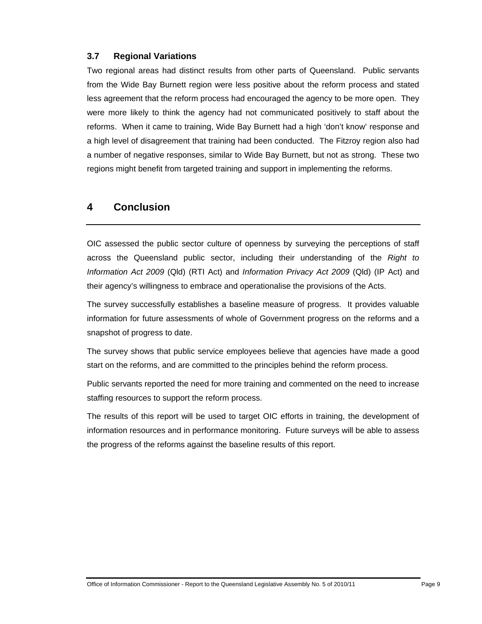#### **3.7 Regional Variations**

Two regional areas had distinct results from other parts of Queensland. Public servants from the Wide Bay Burnett region were less positive about the reform process and stated less agreement that the reform process had encouraged the agency to be more open. They were more likely to think the agency had not communicated positively to staff about the reforms. When it came to training, Wide Bay Burnett had a high 'don't know' response and a high level of disagreement that training had been conducted. The Fitzroy region also had a number of negative responses, similar to Wide Bay Burnett, but not as strong. These two regions might benefit from targeted training and support in implementing the reforms.

### **4 Conclusion**

OIC assessed the public sector culture of openness by surveying the perceptions of staff across the Queensland public sector, including their understanding of the *Right to Information Act 2009* (Qld) (RTI Act) and *Information Privacy Act 2009* (Qld) (IP Act) and their agency's willingness to embrace and operationalise the provisions of the Acts.

The survey successfully establishes a baseline measure of progress. It provides valuable information for future assessments of whole of Government progress on the reforms and a snapshot of progress to date.

The survey shows that public service employees believe that agencies have made a good start on the reforms, and are committed to the principles behind the reform process.

Public servants reported the need for more training and commented on the need to increase staffing resources to support the reform process.

The results of this report will be used to target OIC efforts in training, the development of information resources and in performance monitoring. Future surveys will be able to assess the progress of the reforms against the baseline results of this report.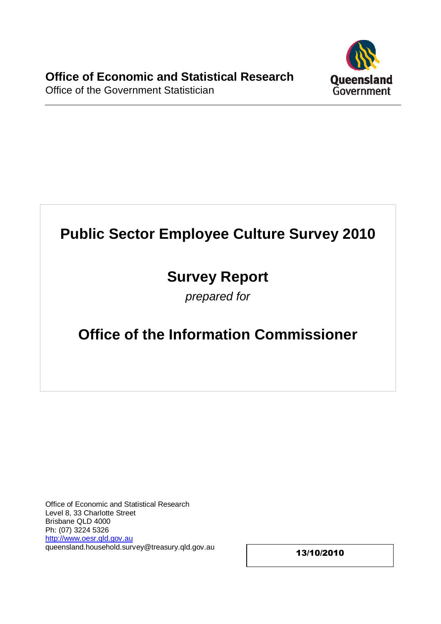

# **Public Sector Employee Culture Survey 2010**

# **Survey Report**

prepared for

# **Office of the Information Commissioner**

Office of Economic and Statistical Research Level 8, 33 Charlotte Street Brisbane QLD 4000 Ph: (07) 3224 5326 [http://www.oesr.qld.gov.au](http://www.oesr.qld.gov.au/) queensland.household.survey@treasury.qld.gov.au

13/10/2010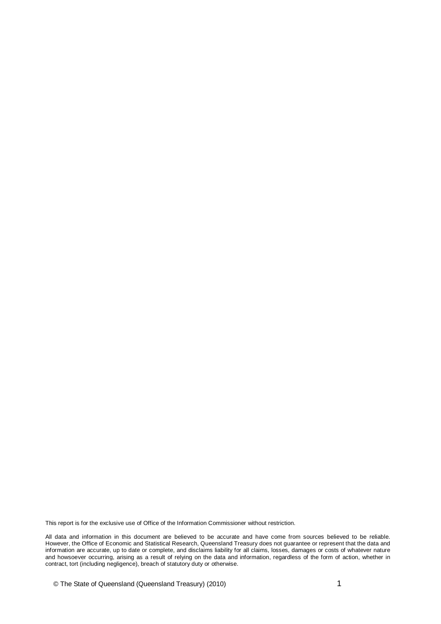This report is for the exclusive use of Office of the Information Commissioner without restriction.

All data and information in this document are believed to be accurate and have come from sources believed to be reliable. However, the Office of Economic and Statistical Research, Queensland Treasury does not guarantee or represent that the data and information are accurate, up to date or complete, and disclaims liability for all claims, losses, damages or costs of whatever nature and howsoever occurring, arising as a result of relying on the data and information, regardless of the form of action, whether in contract, tort (including negligence), breach of statutory duty or otherwise.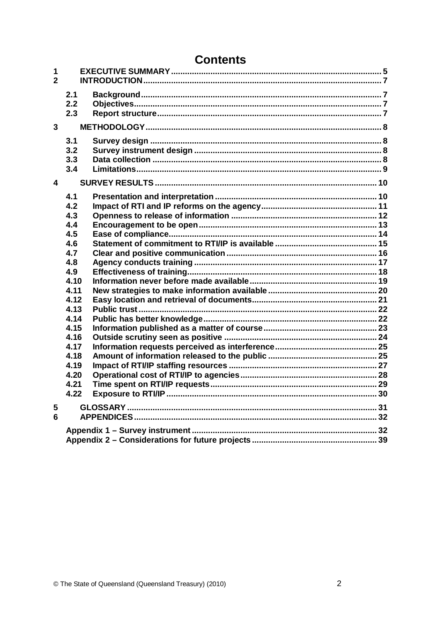| <b>Contents</b> |  |
|-----------------|--|
|-----------------|--|

| 1<br>$\overline{2}$ |                                 |  |
|---------------------|---------------------------------|--|
|                     | 2.1<br>2.2<br>2.3               |  |
| $\mathbf{3}$        |                                 |  |
|                     | 3.1<br>3.2<br>3.3<br>3.4        |  |
| 4                   |                                 |  |
|                     | 4.1<br>4.2<br>4.3<br>4.4<br>4.5 |  |
|                     | 4.6<br>4.7                      |  |
|                     | 4.8                             |  |
|                     | 4.9                             |  |
|                     | 4.10                            |  |
|                     | 4.11<br>4.12                    |  |
|                     | 4.13                            |  |
|                     | 4.14                            |  |
|                     | 4.15                            |  |
|                     | 4.16                            |  |
|                     | 4.17                            |  |
|                     | 4.18                            |  |
|                     | 4.19<br>4.20                    |  |
|                     | 4.21                            |  |
|                     | 4.22                            |  |
| 5<br>$6\phantom{a}$ |                                 |  |
|                     |                                 |  |
|                     |                                 |  |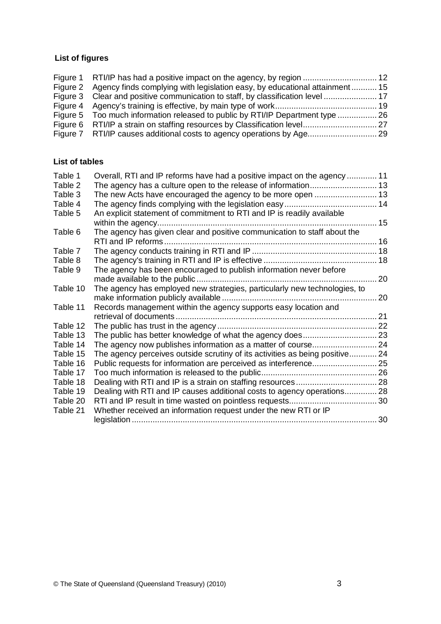### **List of figures**

| Figure 1 RTI/IP has had a positive impact on the agency, by region  12              |  |
|-------------------------------------------------------------------------------------|--|
| Figure 2 Agency finds complying with legislation easy, by educational attainment 15 |  |
| Figure 3 Clear and positive communication to staff, by classification level  17     |  |
|                                                                                     |  |
| Figure 5 Too much information released to public by RTI/IP Department type  26      |  |
|                                                                                     |  |
|                                                                                     |  |
|                                                                                     |  |

### **List of tables**

| Table 1  | Overall, RTI and IP reforms have had a positive impact on the agency  11     |    |
|----------|------------------------------------------------------------------------------|----|
| Table 2  |                                                                              |    |
| Table 3  |                                                                              |    |
| Table 4  |                                                                              |    |
| Table 5  | An explicit statement of commitment to RTI and IP is readily available       |    |
|          |                                                                              |    |
| Table 6  | The agency has given clear and positive communication to staff about the     |    |
|          |                                                                              |    |
| Table 7  |                                                                              |    |
| Table 8  |                                                                              |    |
| Table 9  | The agency has been encouraged to publish information never before           |    |
|          |                                                                              | 20 |
| Table 10 | The agency has employed new strategies, particularly new technologies, to    |    |
|          |                                                                              | 20 |
| Table 11 | Records management within the agency supports easy location and              |    |
|          |                                                                              |    |
| Table 12 |                                                                              |    |
| Table 13 |                                                                              |    |
| Table 14 |                                                                              |    |
| Table 15 | The agency perceives outside scrutiny of its activities as being positive 24 |    |
| Table 16 |                                                                              |    |
| Table 17 |                                                                              |    |
| Table 18 |                                                                              |    |
| Table 19 | Dealing with RTI and IP causes additional costs to agency operations 28      |    |
| Table 20 |                                                                              |    |
| Table 21 | Whether received an information request under the new RTI or IP              |    |
|          |                                                                              |    |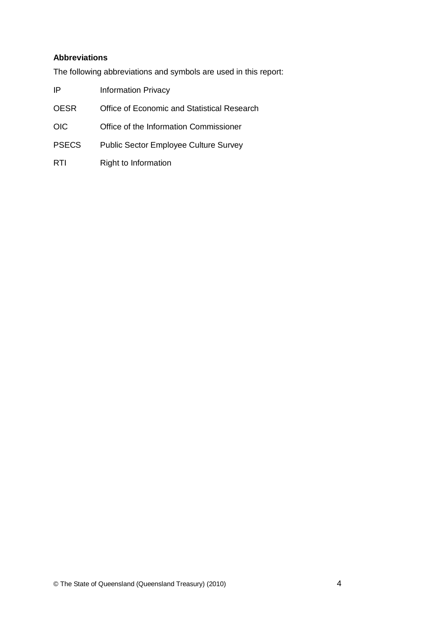### **Abbreviations**

The following abbreviations and symbols are used in this report:

| IP    | <b>Information Privacy</b>                   |
|-------|----------------------------------------------|
| OESR  | Office of Economic and Statistical Research  |
| OIC   | Office of the Information Commissioner       |
| PSECS | <b>Public Sector Employee Culture Survey</b> |
|       |                                              |

RTI Right to Information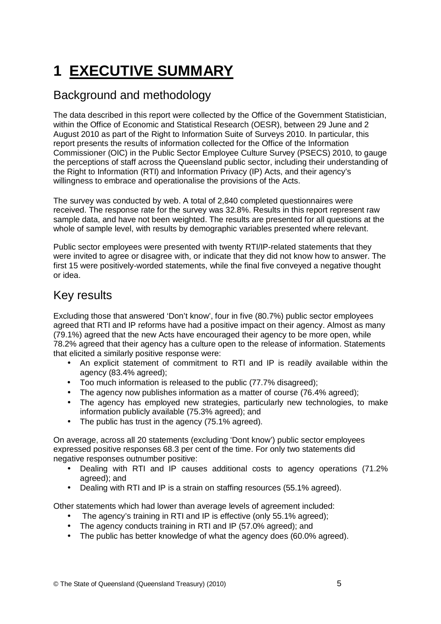# <span id="page-20-0"></span>**1 EXECUTIVE SUMMARY**

# Background and methodology

The data described in this report were collected by the Office of the Government Statistician, within the Office of Economic and Statistical Research (OESR), between 29 June and 2 August 2010 as part of the Right to Information Suite of Surveys 2010. In particular, this report presents the results of information collected for the Office of the Information Commissioner (OIC) in the Public Sector Employee Culture Survey (PSECS) 2010, to gauge the perceptions of staff across the Queensland public sector, including their understanding of the Right to Information (RTI) and Information Privacy (IP) Acts, and their agency's willingness to embrace and operationalise the provisions of the Acts.

The survey was conducted by web. A total of 2,840 completed questionnaires were received. The response rate for the survey was 32.8%. Results in this report represent raw sample data, and have not been weighted. The results are presented for all questions at the whole of sample level, with results by demographic variables presented where relevant.

Public sector employees were presented with twenty RTI/IP-related statements that they were invited to agree or disagree with, or indicate that they did not know how to answer. The first 15 were positively-worded statements, while the final five conveyed a negative thought or idea.

## Key results

Excluding those that answered 'Don't know', four in five (80.7%) public sector employees agreed that RTI and IP reforms have had a positive impact on their agency. Almost as many (79.1%) agreed that the new Acts have encouraged their agency to be more open, while 78.2% agreed that their agency has a culture open to the release of information. Statements that elicited a similarly positive response were:

- An explicit statement of commitment to RTI and IP is readily available within the agency (83.4% agreed);
- Too much information is released to the public (77.7% disagreed);
- The agency now publishes information as a matter of course (76.4% agreed);
- The agency has employed new strategies, particularly new technologies, to make information publicly available (75.3% agreed); and
- The public has trust in the agency (75.1% agreed).

On average, across all 20 statements (excluding 'Dont know') public sector employees expressed positive responses 68.3 per cent of the time. For only two statements did negative responses outnumber positive:

- Dealing with RTI and IP causes additional costs to agency operations (71.2% agreed); and
- Dealing with RTI and IP is a strain on staffing resources (55.1% agreed).

Other statements which had lower than average levels of agreement included:

- The agency's training in RTI and IP is effective (only 55.1% agreed);
- The agency conducts training in RTI and IP (57.0% agreed); and
- The public has better knowledge of what the agency does (60.0% agreed).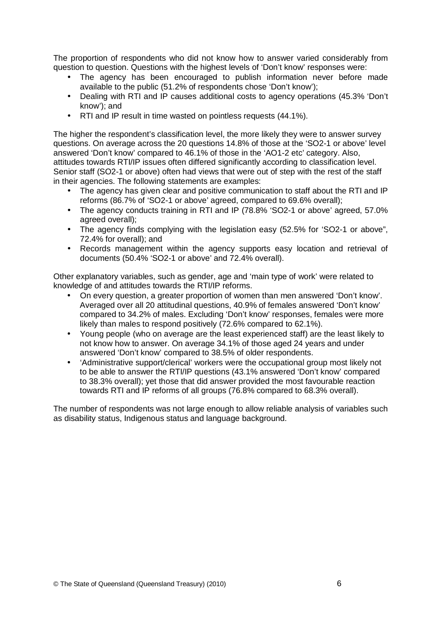The proportion of respondents who did not know how to answer varied considerably from question to question. Questions with the highest levels of 'Don't know' responses were:

- The agency has been encouraged to publish information never before made available to the public (51.2% of respondents chose 'Don't know');
- Dealing with RTI and IP causes additional costs to agency operations (45.3% 'Don't know'); and
- RTI and IP result in time wasted on pointless requests (44.1%).

The higher the respondent's classification level, the more likely they were to answer survey questions. On average across the 20 questions 14.8% of those at the 'SO2-1 or above' level answered 'Don't know' compared to 46.1% of those in the 'AO1-2 etc' category. Also, attitudes towards RTI/IP issues often differed significantly according to classification level. Senior staff (SO2-1 or above) often had views that were out of step with the rest of the staff in their agencies. The following statements are examples:

- The agency has given clear and positive communication to staff about the RTI and IP reforms (86.7% of 'SO2-1 or above' agreed, compared to 69.6% overall);
- The agency conducts training in RTI and IP (78.8% 'SO2-1 or above' agreed, 57.0% agreed overall);
- The agency finds complying with the legislation easy (52.5% for 'SO2-1 or above", 72.4% for overall); and
- Records management within the agency supports easy location and retrieval of documents (50.4% 'SO2-1 or above' and 72.4% overall).

Other explanatory variables, such as gender, age and 'main type of work' were related to knowledge of and attitudes towards the RTI/IP reforms.

- On every question, a greater proportion of women than men answered 'Don't know'. Averaged over all 20 attitudinal questions, 40.9% of females answered 'Don't know' compared to 34.2% of males. Excluding 'Don't know' responses, females were more likely than males to respond positively (72.6% compared to 62.1%).
- Young people (who on average are the least experienced staff) are the least likely to not know how to answer. On average 34.1% of those aged 24 years and under answered 'Don't know' compared to 38.5% of older respondents.
- 'Administrative support/clerical' workers were the occupational group most likely not to be able to answer the RTI/IP questions (43.1% answered 'Don't know' compared to 38.3% overall); yet those that did answer provided the most favourable reaction towards RTI and IP reforms of all groups (76.8% compared to 68.3% overall).

The number of respondents was not large enough to allow reliable analysis of variables such as disability status, Indigenous status and language background.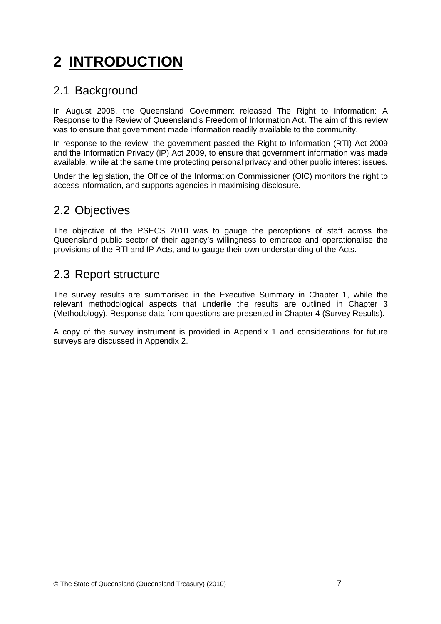# <span id="page-22-0"></span>**2 INTRODUCTION**

### 2.1 Background

In August 2008, the Queensland Government released The Right to Information: A Response to the Review of Queensland's Freedom of Information Act. The aim of this review was to ensure that government made information readily available to the community.

In response to the review, the government passed the Right to Information (RTI) Act 2009 and the Information Privacy (IP) Act 2009, to ensure that government information was made available, while at the same time protecting personal privacy and other public interest issues.

Under the legislation, the Office of the Information Commissioner (OIC) monitors the right to access information, and supports agencies in maximising disclosure.

## 2.2 Objectives

The objective of the PSECS 2010 was to gauge the perceptions of staff across the Queensland public sector of their agency's willingness to embrace and operationalise the provisions of the RTI and IP Acts, and to gauge their own understanding of the Acts.

### 2.3 Report structure

The survey results are summarised in the Executive Summary in Chapter 1, while the relevant methodological aspects that underlie the results are outlined in Chapter 3 (Methodology). Response data from questions are presented in Chapter 4 (Survey Results).

A copy of the survey instrument is provided in Appendix 1 and considerations for future surveys are discussed in Appendix 2.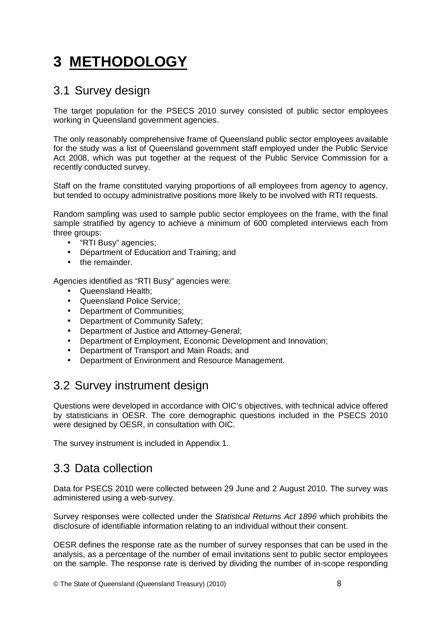# <span id="page-23-0"></span>**3 METHODOLOGY**

### 3.1 Survey design

The target population for the PSECS 2010 survey consisted of public sector employees working in Queensland government agencies.

The only reasonably comprehensive frame of Queensland public sector employees available for the study was a list of Queensland government staff employed under the Public Service Act 2008, which was put together at the request of the Public Service Commission for a recently conducted survey.

Staff on the frame constituted varying proportions of all employees from agency to agency, but tended to occupy administrative positions more likely to be involved with RTI requests.

Random sampling was used to sample public sector employees on the frame, with the final sample stratified by agency to achieve a minimum of 600 completed interviews each from three groups:

- "RTI Busy" agencies;
- Department of Education and Training; and
- the remainder.

Agencies identified as "RTI Busy" agencies were:

- Queensland Health:
- Queensland Police Service;
- Department of Communities;
- Department of Community Safety;
- Department of Justice and Attorney-General;
- Department of Employment, Economic Development and Innovation;
- Department of Transport and Main Roads; and
- Department of Environment and Resource Management.

### 3.2 Survey instrument design

Questions were developed in accordance with OIC's objectives, with technical advice offered by statisticians in OESR. The core demographic questions included in the PSECS 2010 were designed by OESR, in consultation with OIC.

The survey instrument is included in Appendix 1.

### 3.3 Data collection

Data for PSECS 2010 were collected between 29 June and 2 August 2010. The survey was administered using a web-survey.

Survey responses were collected under the Statistical Returns Act 1896 which prohibits the disclosure of identifiable information relating to an individual without their consent.

OESR defines the response rate as the number of survey responses that can be used in the analysis, as a percentage of the number of email invitations sent to public sector employees on the sample. The response rate is derived by dividing the number of in-scope responding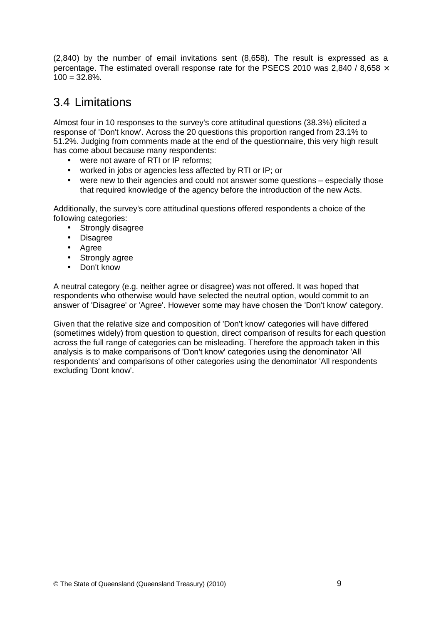<span id="page-24-0"></span>(2,840) by the number of email invitations sent (8,658). The result is expressed as a percentage. The estimated overall response rate for the PSECS 2010 was 2,840 / 8,658  $\times$  $100 = 32.8\%$ .

## 3.4 Limitations

Almost four in 10 responses to the survey's core attitudinal questions (38.3%) elicited a response of 'Don't know'. Across the 20 questions this proportion ranged from 23.1% to 51.2%. Judging from comments made at the end of the questionnaire, this very high result has come about because many respondents:

- were not aware of RTI or IP reforms;
- worked in jobs or agencies less affected by RTI or IP; or
- were new to their agencies and could not answer some questions especially those that required knowledge of the agency before the introduction of the new Acts.

Additionally, the survey's core attitudinal questions offered respondents a choice of the following categories:

- Strongly disagree
- Disagree
- Agree
- Strongly agree
- Don't know

A neutral category (e.g. neither agree or disagree) was not offered. It was hoped that respondents who otherwise would have selected the neutral option, would commit to an answer of 'Disagree' or 'Agree'. However some may have chosen the 'Don't know' category.

Given that the relative size and composition of 'Don't know' categories will have differed (sometimes widely) from question to question, direct comparison of results for each question across the full range of categories can be misleading. Therefore the approach taken in this analysis is to make comparisons of 'Don't know' categories using the denominator 'All respondents' and comparisons of other categories using the denominator 'All respondents excluding 'Dont know'.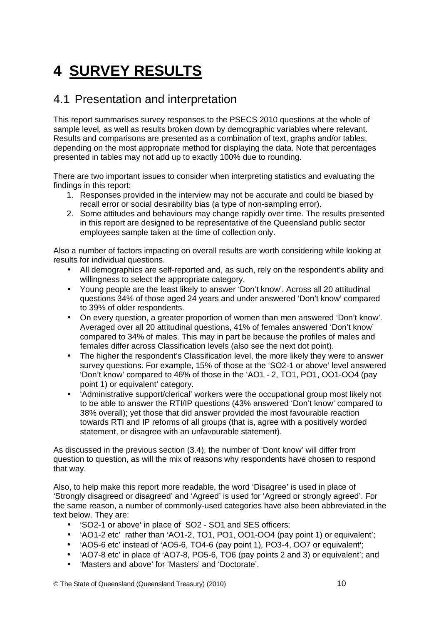# <span id="page-25-0"></span>**4 SURVEY RESULTS**

### 4.1 Presentation and interpretation

This report summarises survey responses to the PSECS 2010 questions at the whole of sample level, as well as results broken down by demographic variables where relevant. Results and comparisons are presented as a combination of text, graphs and/or tables, depending on the most appropriate method for displaying the data. Note that percentages presented in tables may not add up to exactly 100% due to rounding.

There are two important issues to consider when interpreting statistics and evaluating the findings in this report:

- 1. Responses provided in the interview may not be accurate and could be biased by recall error or social desirability bias (a type of non-sampling error).
- 2. Some attitudes and behaviours may change rapidly over time. The results presented in this report are designed to be representative of the Queensland public sector employees sample taken at the time of collection only.

Also a number of factors impacting on overall results are worth considering while looking at results for individual questions.

- All demographics are self-reported and, as such, rely on the respondent's ability and willingness to select the appropriate category.
- Young people are the least likely to answer 'Don't know'. Across all 20 attitudinal questions 34% of those aged 24 years and under answered 'Don't know' compared to 39% of older respondents.
- On every question, a greater proportion of women than men answered 'Don't know'. Averaged over all 20 attitudinal questions, 41% of females answered 'Don't know' compared to 34% of males. This may in part be because the profiles of males and females differ across Classification levels (also see the next dot point).
- The higher the respondent's Classification level, the more likely they were to answer survey questions. For example, 15% of those at the 'SO2-1 or above' level answered 'Don't know' compared to 46% of those in the 'AO1 - 2, TO1, PO1, OO1-OO4 (pay point 1) or equivalent' category.
- 'Administrative support/clerical' workers were the occupational group most likely not to be able to answer the RTI/IP questions (43% answered 'Don't know' compared to 38% overall); yet those that did answer provided the most favourable reaction towards RTI and IP reforms of all groups (that is, agree with a positively worded statement, or disagree with an unfavourable statement).

As discussed in the previous section (3.4), the number of 'Dont know' will differ from question to question, as will the mix of reasons why respondents have chosen to respond that way.

Also, to help make this report more readable, the word 'Disagree' is used in place of 'Strongly disagreed or disagreed' and 'Agreed' is used for 'Agreed or strongly agreed'. For the same reason, a number of commonly-used categories have also been abbreviated in the text below. They are:

- 'SO2-1 or above' in place of SO2 SO1 and SES officers;
- 'AO1-2 etc' rather than 'AO1-2, TO1, PO1, OO1-OO4 (pay point 1) or equivalent';
- 'AO5-6 etc' instead of 'AO5-6, TO4-6 (pay point 1), PO3-4, OO7 or equivalent';
- 'AO7-8 etc' in place of 'AO7-8, PO5-6, TO6 (pay points 2 and 3) or equivalent'; and
- 'Masters and above' for 'Masters' and 'Doctorate'.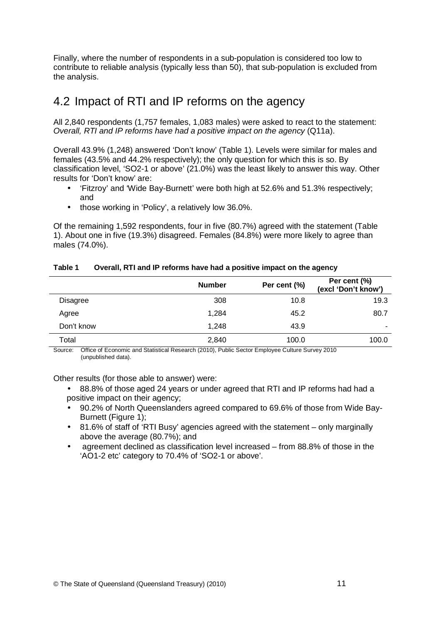<span id="page-26-0"></span>Finally, where the number of respondents in a sub-population is considered too low to contribute to reliable analysis (typically less than 50), that sub-population is excluded from the analysis.

## 4.2 Impact of RTI and IP reforms on the agency

All 2,840 respondents (1,757 females, 1,083 males) were asked to react to the statement: Overall, RTI and IP reforms have had a positive impact on the agency (Q11a).

Overall 43.9% (1,248) answered 'Don't know' (Table 1). Levels were similar for males and females (43.5% and 44.2% respectively); the only question for which this is so. By classification level, 'SO2-1 or above' (21.0%) was the least likely to answer this way. Other results for 'Don't know' are:

- 'Fitzroy' and 'Wide Bay-Burnett' were both high at 52.6% and 51.3% respectively; and
- those working in 'Policy', a relatively low 36.0%.

Of the remaining 1,592 respondents, four in five (80.7%) agreed with the statement (Table 1). About one in five (19.3%) disagreed. Females (84.8%) were more likely to agree than males (74.0%).

|                 | <b>Number</b> | Per cent (%) | Per cent (%)<br>(excl 'Don't know') |
|-----------------|---------------|--------------|-------------------------------------|
| <b>Disagree</b> | 308           | 10.8         | 19.3                                |
| Agree           | 1.284         | 45.2         | 80.7                                |
| Don't know      | 1,248         | 43.9         | ٠                                   |
| Total           | 2,840         | 100.0        | 100.0                               |

#### **Table 1 Overall, RTI and IP reforms have had a positive impact on the agency**

Source: Office of Economic and Statistical Research (2010), Public Sector Employee Culture Survey 2010 (unpublished data).

Other results (for those able to answer) were:

- 88.8% of those aged 24 years or under agreed that RTI and IP reforms had had a positive impact on their agency;
- 90.2% of North Queenslanders agreed compared to 69.6% of those from Wide Bay-Burnett (Figure 1);
- 81.6% of staff of 'RTI Busy' agencies agreed with the statement only marginally above the average (80.7%); and
- agreement declined as classification level increased from 88.8% of those in the 'AO1-2 etc' category to 70.4% of 'SO2-1 or above'.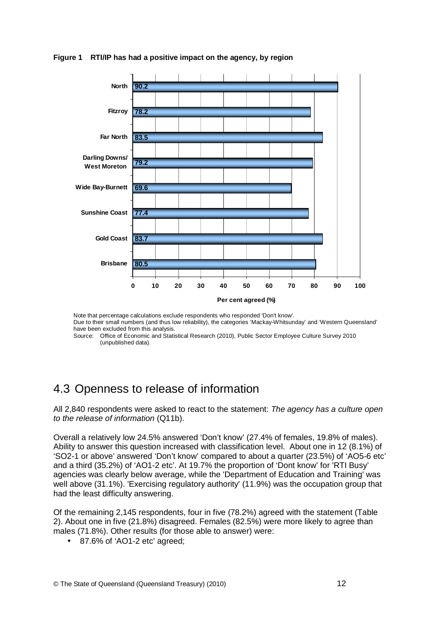

#### <span id="page-27-0"></span>**Figure 1 RTI/IP has had a positive impact on the agency, by region**

Note that percentage calculations exclude respondents who responded 'Don't know'. Due to their small numbers (and thus low reliability), the categories 'Mackay-Whitsunday' and 'Western Queensland' have been excluded from this analysis.

Source: Office of Economic and Statistical Research (2010), Public Sector Employee Culture Survey 2010 (unpublished data).

## 4.3 Openness to release of information

All 2,840 respondents were asked to react to the statement: The agency has a culture open to the release of information (Q11b).

Overall a relatively low 24.5% answered 'Don't know' (27.4% of females, 19.8% of males). Ability to answer this question increased with classification level. About one in 12 (8.1%) of 'SO2-1 or above' answered 'Don't know' compared to about a quarter (23.5%) of 'AO5-6 etc' and a third (35.2%) of 'AO1-2 etc'. At 19.7% the proportion of 'Dont know' for 'RTI Busy' agencies was clearly below average, while the 'Department of Education and Training' was well above (31.1%). 'Exercising regulatory authority' (11.9%) was the occupation group that had the least difficulty answering.

Of the remaining 2,145 respondents, four in five (78.2%) agreed with the statement (Table 2). About one in five (21.8%) disagreed. Females (82.5%) were more likely to agree than males (71.8%). Other results (for those able to answer) were:

• 87.6% of 'AO1-2 etc' agreed;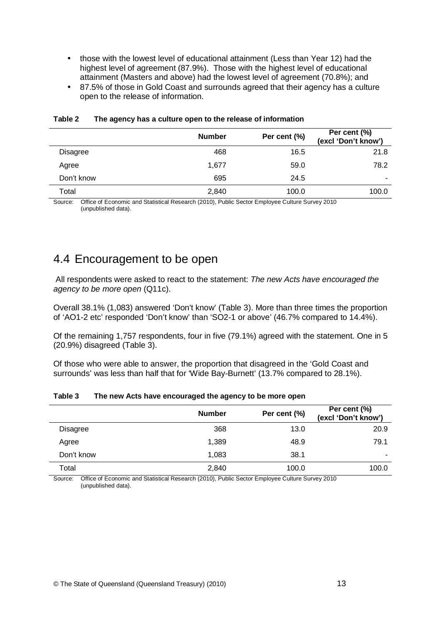- <span id="page-28-0"></span>• those with the lowest level of educational attainment (Less than Year 12) had the highest level of agreement (87.9%). Those with the highest level of educational attainment (Masters and above) had the lowest level of agreement (70.8%); and
- 87.5% of those in Gold Coast and surrounds agreed that their agency has a culture open to the release of information.

|            | <b>Number</b> | Per cent (%) | Per cent (%)<br>(excl 'Don't know') |
|------------|---------------|--------------|-------------------------------------|
| Disagree   | 468           | 16.5         | 21.8                                |
| Agree      | 1,677         | 59.0         | 78.2                                |
| Don't know | 695           | 24.5         | $\overline{\phantom{a}}$            |
| Total      | 2,840         | 100.0        | 100.0                               |

#### **Table 2 The agency has a culture open to the release of information**

Source: Office of Economic and Statistical Research (2010), Public Sector Employee Culture Survey 2010 (unpublished data).

### 4.4 Encouragement to be open

All respondents were asked to react to the statement: The new Acts have encouraged the agency to be more open (Q11c).

Overall 38.1% (1,083) answered 'Don't know' (Table 3). More than three times the proportion of 'AO1-2 etc' responded 'Don't know' than 'SO2-1 or above' (46.7% compared to 14.4%).

Of the remaining 1,757 respondents, four in five (79.1%) agreed with the statement. One in 5 (20.9%) disagreed (Table 3).

Of those who were able to answer, the proportion that disagreed in the 'Gold Coast and surrounds' was less than half that for 'Wide Bay-Burnett' (13.7% compared to 28.1%).

|                 | <b>Number</b> | Per cent (%) | Per cent (%)<br>(excl 'Don't know') |
|-----------------|---------------|--------------|-------------------------------------|
| <b>Disagree</b> | 368           | 13.0         | 20.9                                |
| Agree           | 1,389         | 48.9         | 79.1                                |
| Don't know      | 1,083         | 38.1         | ۰                                   |
| Total           | 2,840         | 100.0        | 100.0                               |

#### **Table 3 The new Acts have encouraged the agency to be more open**

Source: Office of Economic and Statistical Research (2010), Public Sector Employee Culture Survey 2010 (unpublished data).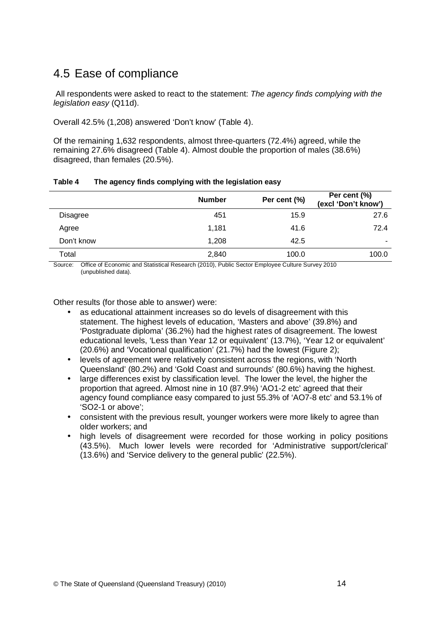# <span id="page-29-0"></span>4.5 Ease of compliance

 All respondents were asked to react to the statement: The agency finds complying with the legislation easy (Q11d).

Overall 42.5% (1,208) answered 'Don't know' (Table 4).

Of the remaining 1,632 respondents, almost three-quarters (72.4%) agreed, while the remaining 27.6% disagreed (Table 4). Almost double the proportion of males (38.6%) disagreed, than females (20.5%).

|                 | <b>Number</b> | Per cent (%) | Per cent (%)<br>(excl 'Don't know') |
|-----------------|---------------|--------------|-------------------------------------|
| <b>Disagree</b> | 451           | 15.9         | 27.6                                |
| Agree           | 1,181         | 41.6         | 72.4                                |
| Don't know      | 1,208         | 42.5         |                                     |
| Total           | 2,840         | 100.0        | 100.0                               |

#### **Table 4 The agency finds complying with the legislation easy**

Source: Office of Economic and Statistical Research (2010), Public Sector Employee Culture Survey 2010 (unpublished data).

Other results (for those able to answer) were:

- as educational attainment increases so do levels of disagreement with this statement. The highest levels of education, 'Masters and above' (39.8%) and 'Postgraduate diploma' (36.2%) had the highest rates of disagreement. The lowest educational levels, 'Less than Year 12 or equivalent' (13.7%), 'Year 12 or equivalent' (20.6%) and 'Vocational qualification' (21.7%) had the lowest (Figure 2);
- levels of agreement were relatively consistent across the regions, with 'North Queensland' (80.2%) and 'Gold Coast and surrounds' (80.6%) having the highest.
- large differences exist by classification level. The lower the level, the higher the proportion that agreed. Almost nine in 10 (87.9%) 'AO1-2 etc' agreed that their agency found compliance easy compared to just 55.3% of 'AO7-8 etc' and 53.1% of 'SO2-1 or above';
- consistent with the previous result, younger workers were more likely to agree than older workers; and
- high levels of disagreement were recorded for those working in policy positions (43.5%). Much lower levels were recorded for 'Administrative support/clerical' (13.6%) and 'Service delivery to the general public' (22.5%).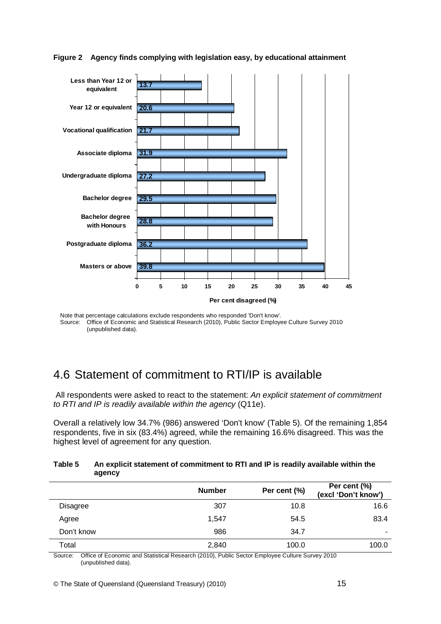

#### <span id="page-30-0"></span>**Figure 2 Agency finds complying with legislation easy, by educational attainment**

Note that percentage calculations exclude respondents who responded 'Don't know'. Source: Office of Economic and Statistical Research (2010), Public Sector Employee Culture Survey 2010 (unpublished data).

### 4.6 Statement of commitment to RTI/IP is available

All respondents were asked to react to the statement: An explicit statement of commitment to RTI and IP is readily available within the agency (Q11e).

Overall a relatively low 34.7% (986) answered 'Don't know' (Table 5). Of the remaining 1,854 respondents, five in six (83.4%) agreed, while the remaining 16.6% disagreed. This was the highest level of agreement for any question.

#### **Table 5 An explicit statement of commitment to RTI and IP is readily available within the agency**

|            | <b>Number</b> | Per cent (%) | Per cent (%)<br>(excl 'Don't know') |
|------------|---------------|--------------|-------------------------------------|
| Disagree   | 307           | 10.8         | 16.6                                |
| Agree      | 1,547         | 54.5         | 83.4                                |
| Don't know | 986           | 34.7         | -                                   |
| Total      | 2,840         | 100.0        | 100.0                               |

Source: Office of Economic and Statistical Research (2010), Public Sector Employee Culture Survey 2010 (unpublished data).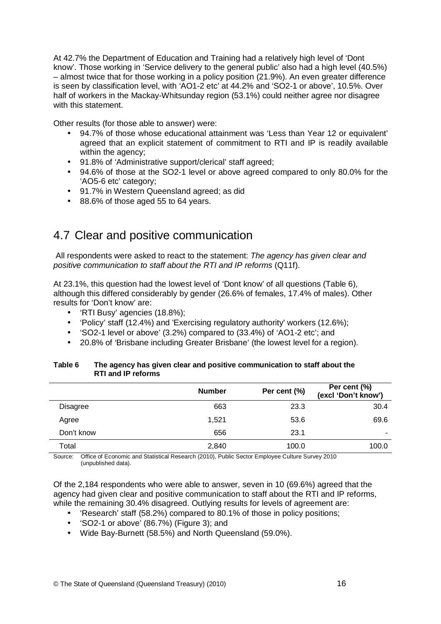<span id="page-31-0"></span>At 42.7% the Department of Education and Training had a relatively high level of 'Dont know'. Those working in 'Service delivery to the general public' also had a high level (40.5%) – almost twice that for those working in a policy position (21.9%). An even greater difference is seen by classification level, with 'AO1-2 etc' at 44.2% and 'SO2-1 or above', 10.5%. Over half of workers in the Mackay-Whitsunday region (53.1%) could neither agree nor disagree with this statement.

Other results (for those able to answer) were:

- 94.7% of those whose educational attainment was 'Less than Year 12 or equivalent' agreed that an explicit statement of commitment to RTI and IP is readily available within the agency;
- 91.8% of 'Administrative support/clerical' staff agreed;
- 94.6% of those at the SO2-1 level or above agreed compared to only 80.0% for the 'AO5-6 etc' category;
- 91.7% in Western Queensland agreed; as did
- 88.6% of those aged 55 to 64 years.

### 4.7 Clear and positive communication

All respondents were asked to react to the statement: The agency has given clear and positive communication to staff about the RTI and IP reforms (Q11f).

At 23.1%, this question had the lowest level of 'Dont know' of all questions (Table 6), although this differed considerably by gender (26.6% of females, 17.4% of males). Other results for 'Don't know' are:

- 'RTI Busy' agencies (18.8%);
- 'Policy' staff (12.4%) and 'Exercising regulatory authority' workers (12.6%);
- 'SO2-1 level or above' (3.2%) compared to (33.4%) of 'AO1-2 etc'; and
- 20.8% of 'Brisbane including Greater Brisbane' (the lowest level for a region).

#### **Table 6 The agency has given clear and positive communication to staff about the RTI and IP reforms**

|                 | <b>Number</b> | Per cent (%) | Per cent (%)<br>(excl 'Don't know') |
|-----------------|---------------|--------------|-------------------------------------|
| <b>Disagree</b> | 663           | 23.3         | 30.4                                |
| Agree           | 1.521         | 53.6         | 69.6                                |
| Don't know      | 656           | 23.1         | ۰                                   |
| Total           | 2,840         | 100.0        | 100.0                               |

Source: Office of Economic and Statistical Research (2010), Public Sector Employee Culture Survey 2010 (unpublished data).

Of the 2,184 respondents who were able to answer, seven in 10 (69.6%) agreed that the agency had given clear and positive communication to staff about the RTI and IP reforms, while the remaining 30.4% disagreed. Outlying results for levels of agreement are:

- 'Research' staff (58.2%) compared to 80.1% of those in policy positions;
- 'SO2-1 or above' (86.7%) (Figure 3); and
- Wide Bay-Burnett (58.5%) and North Queensland (59.0%).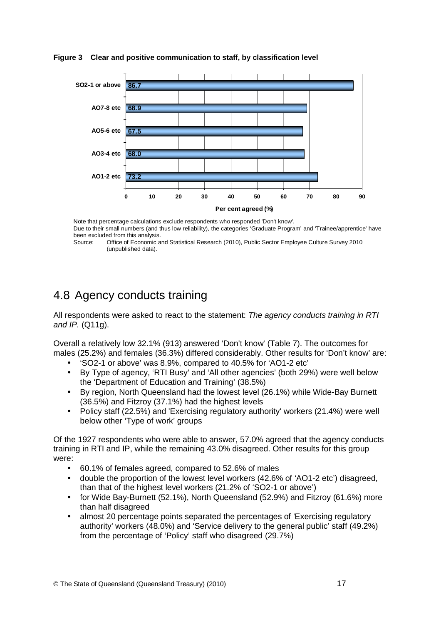

#### <span id="page-32-0"></span>**Figure 3 Clear and positive communication to staff, by classification level**

Note that percentage calculations exclude respondents who responded 'Don't know'. Due to their small numbers (and thus low reliability), the categories 'Graduate Program' and 'Trainee/apprentice' have been excluded from this analysis.<br>Source: Office of Economic a

Office of Economic and Statistical Research (2010), Public Sector Employee Culture Survey 2010 (unpublished data).

# 4.8 Agency conducts training

All respondents were asked to react to the statement: The agency conducts training in RTI and IP. (Q11g).

Overall a relatively low 32.1% (913) answered 'Don't know' (Table 7). The outcomes for males (25.2%) and females (36.3%) differed considerably. Other results for 'Don't know' are:

- 'SO2-1 or above' was 8.9%, compared to 40.5% for 'AO1-2 etc'
- By Type of agency, 'RTI Busy' and 'All other agencies' (both 29%) were well below the 'Department of Education and Training' (38.5%)
- By region, North Queensland had the lowest level (26.1%) while Wide-Bay Burnett (36.5%) and Fitzroy (37.1%) had the highest levels
- Policy staff (22.5%) and 'Exercising regulatory authority' workers (21.4%) were well below other 'Type of work' groups

Of the 1927 respondents who were able to answer, 57.0% agreed that the agency conducts training in RTI and IP, while the remaining 43.0% disagreed. Other results for this group were:

- 60.1% of females agreed, compared to 52.6% of males
- double the proportion of the lowest level workers (42.6% of 'AO1-2 etc') disagreed, than that of the highest level workers (21.2% of 'SO2-1 or above')
- for Wide Bay-Burnett (52.1%), North Queensland (52.9%) and Fitzroy (61.6%) more than half disagreed
- almost 20 percentage points separated the percentages of 'Exercising regulatory authority' workers (48.0%) and 'Service delivery to the general public' staff (49.2%) from the percentage of 'Policy' staff who disagreed (29.7%)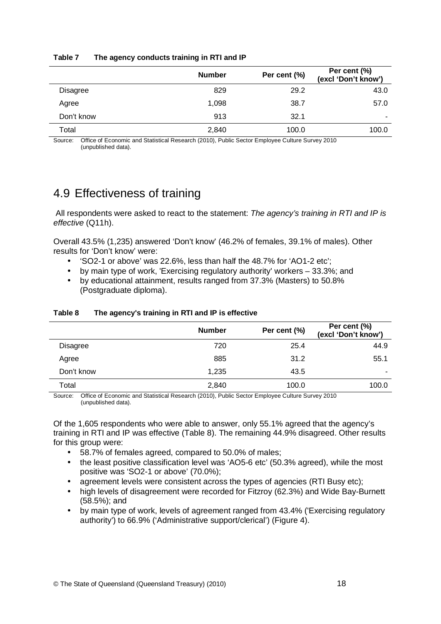|                 | <b>Number</b> | Per cent (%) | Per cent (%)<br>(excl 'Don't know') |
|-----------------|---------------|--------------|-------------------------------------|
| <b>Disagree</b> | 829           | 29.2         | 43.0                                |
| Agree           | 1,098         | 38.7         | 57.0                                |
| Don't know      | 913           | 32.1         | $\overline{\phantom{0}}$            |
| Total           | 2,840         | 100.0        | 100.0                               |

#### <span id="page-33-0"></span>**Table 7 The agency conducts training in RTI and IP**

Source: Office of Economic and Statistical Research (2010), Public Sector Employee Culture Survey 2010 (unpublished data).

## 4.9 Effectiveness of training

All respondents were asked to react to the statement: The agency's training in RTI and IP is effective (Q11h).

Overall 43.5% (1,235) answered 'Don't know' (46.2% of females, 39.1% of males). Other results for 'Don't know' were:

- 'SO2-1 or above' was 22.6%, less than half the 48.7% for 'AO1-2 etc';
- by main type of work, 'Exercising regulatory authority' workers 33.3%; and
- by educational attainment, results ranged from 37.3% (Masters) to 50.8% (Postgraduate diploma).

|                 | <b>Number</b> | Per cent (%) | Per cent (%)<br>(excl 'Don't know') |
|-----------------|---------------|--------------|-------------------------------------|
| <b>Disagree</b> | 720           | 25.4         | 44.9                                |
| Agree           | 885           | 31.2         | 55.1                                |
| Don't know      | 1.235         | 43.5         |                                     |
| Total           | 2,840         | 100.0        | 100.0                               |

#### **Table 8 The agency's training in RTI and IP is effective**

Source: Office of Economic and Statistical Research (2010), Public Sector Employee Culture Survey 2010 (unpublished data).

Of the 1,605 respondents who were able to answer, only 55.1% agreed that the agency's training in RTI and IP was effective (Table 8). The remaining 44.9% disagreed. Other results for this group were:

- 58.7% of females agreed, compared to 50.0% of males;
- the least positive classification level was 'AO5-6 etc' (50.3% agreed), while the most positive was 'SO2-1 or above' (70.0%);
- agreement levels were consistent across the types of agencies (RTI Busy etc);
- high levels of disagreement were recorded for Fitzroy (62.3%) and Wide Bay-Burnett (58.5%); and
- by main type of work, levels of agreement ranged from 43.4% ('Exercising regulatory authority') to 66.9% ('Administrative support/clerical') (Figure 4).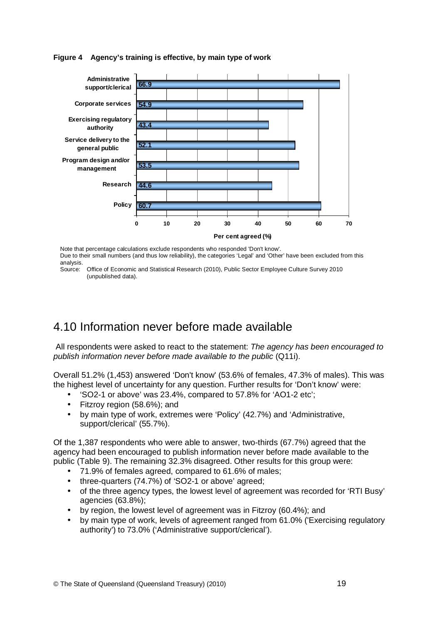#### <span id="page-34-0"></span>**Figure 4 Agency's training is effective, by main type of work**



Note that percentage calculations exclude respondents who responded 'Don't know'. Due to their small numbers (and thus low reliability), the categories 'Legal' and 'Other' have been excluded from this analysis.

### 4.10 Information never before made available

 All respondents were asked to react to the statement: The agency has been encouraged to publish information never before made available to the public (Q11i).

Overall 51.2% (1,453) answered 'Don't know' (53.6% of females, 47.3% of males). This was the highest level of uncertainty for any question. Further results for 'Don't know' were:

- 'SO2-1 or above' was 23.4%, compared to 57.8% for 'AO1-2 etc';
- Fitzroy region (58.6%); and
- by main type of work, extremes were 'Policy' (42.7%) and 'Administrative, support/clerical' (55.7%).

Of the 1,387 respondents who were able to answer, two-thirds (67.7%) agreed that the agency had been encouraged to publish information never before made available to the public (Table 9). The remaining 32.3% disagreed. Other results for this group were:

- 71.9% of females agreed, compared to 61.6% of males;
- three-quarters (74.7%) of 'SO2-1 or above' agreed;
- of the three agency types, the lowest level of agreement was recorded for 'RTI Busy' agencies (63.8%);
- by region, the lowest level of agreement was in Fitzroy (60.4%); and
- by main type of work, levels of agreement ranged from 61.0% ('Exercising regulatory authority') to 73.0% ('Administrative support/clerical').

Source: Office of Economic and Statistical Research (2010), Public Sector Employee Culture Survey 2010 (unpublished data).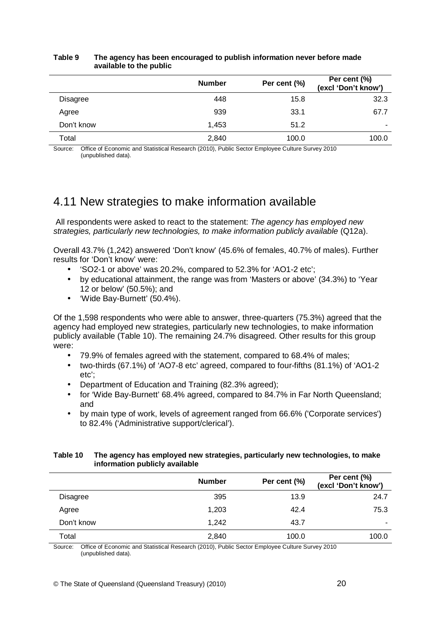|                 | <b>Number</b> | Per cent (%) | Per cent (%)<br>(excl 'Don't know') |
|-----------------|---------------|--------------|-------------------------------------|
| <b>Disagree</b> | 448           | 15.8         | 32.3                                |
| Agree           | 939           | 33.1         | 67.7                                |
| Don't know      | 1,453         | 51.2         | -                                   |
| Total           | 2,840         | 100.0        | 100.0                               |

#### <span id="page-35-0"></span>**Table 9 The agency has been encouraged to publish information never before made available to the public**

Source: Office of Economic and Statistical Research (2010), Public Sector Employee Culture Survey 2010 (unpublished data).

### 4.11 New strategies to make information available

 All respondents were asked to react to the statement: The agency has employed new strategies, particularly new technologies, to make information publicly available (Q12a).

Overall 43.7% (1,242) answered 'Don't know' (45.6% of females, 40.7% of males). Further results for 'Don't know' were:

- 'SO2-1 or above' was 20.2%, compared to 52.3% for 'AO1-2 etc';
- by educational attainment, the range was from 'Masters or above' (34.3%) to 'Year 12 or below' (50.5%); and
- 'Wide Bay-Burnett' (50.4%).

Of the 1,598 respondents who were able to answer, three-quarters (75.3%) agreed that the agency had employed new strategies, particularly new technologies, to make information publicly available (Table 10). The remaining 24.7% disagreed. Other results for this group were:

- 79.9% of females agreed with the statement, compared to 68.4% of males;
- two-thirds (67.1%) of 'AO7-8 etc' agreed, compared to four-fifths (81.1%) of 'AO1-2 etc';
- Department of Education and Training (82.3% agreed);
- for 'Wide Bay-Burnett' 68.4% agreed, compared to 84.7% in Far North Queensland: and
- by main type of work, levels of agreement ranged from 66.6% ('Corporate services') to 82.4% ('Administrative support/clerical').

#### **Table 10 The agency has employed new strategies, particularly new technologies, to make information publicly available**

|            | <b>Number</b> | Per cent (%) | Per cent (%)<br>(excl 'Don't know') |
|------------|---------------|--------------|-------------------------------------|
| Disagree   | 395           | 13.9         | 24.7                                |
| Agree      | 1,203         | 42.4         | 75.3                                |
| Don't know | 1,242         | 43.7         | ۰                                   |
| Total      | 2,840         | 100.0        | 100.0                               |

Source: Office of Economic and Statistical Research (2010), Public Sector Employee Culture Survey 2010 (unpublished data).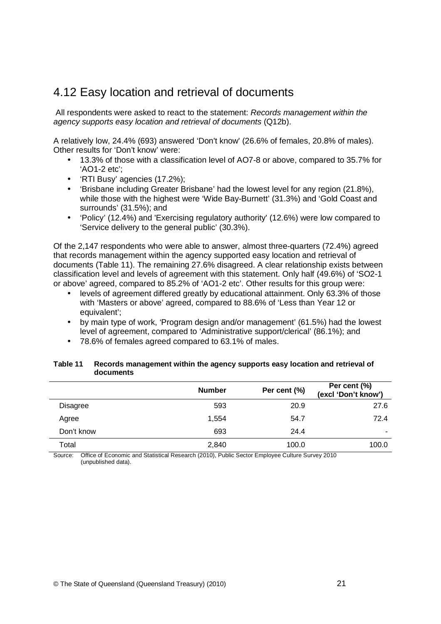## <span id="page-36-0"></span>4.12 Easy location and retrieval of documents

 All respondents were asked to react to the statement: Records management within the agency supports easy location and retrieval of documents (Q12b).

A relatively low, 24.4% (693) answered 'Don't know' (26.6% of females, 20.8% of males). Other results for 'Don't know' were:

- 13.3% of those with a classification level of AO7-8 or above, compared to 35.7% for 'AO1-2 etc';
- 'RTI Busy' agencies (17.2%);
- 'Brisbane including Greater Brisbane' had the lowest level for any region (21.8%), while those with the highest were 'Wide Bay-Burnett' (31.3%) and 'Gold Coast and surrounds' (31.5%); and
- 'Policy' (12.4%) and 'Exercising regulatory authority' (12.6%) were low compared to 'Service delivery to the general public' (30.3%).

Of the 2,147 respondents who were able to answer, almost three-quarters (72.4%) agreed that records management within the agency supported easy location and retrieval of documents (Table 11). The remaining 27.6% disagreed. A clear relationship exists between classification level and levels of agreement with this statement. Only half (49.6%) of 'SO2-1 or above' agreed, compared to 85.2% of 'AO1-2 etc'. Other results for this group were:

- levels of agreement differed greatly by educational attainment. Only 63.3% of those with 'Masters or above' agreed, compared to 88.6% of 'Less than Year 12 or equivalent';
- by main type of work, 'Program design and/or management' (61.5%) had the lowest level of agreement, compared to 'Administrative support/clerical' (86.1%); and
- 78.6% of females agreed compared to 63.1% of males.

|                 | <b>Number</b> | Per cent (%) | Per cent (%)<br>(excl 'Don't know') |
|-----------------|---------------|--------------|-------------------------------------|
| <b>Disagree</b> | 593           | 20.9         | 27.6                                |
| Agree           | 1,554         | 54.7         | 72.4                                |
| Don't know      | 693           | 24.4         | ۰                                   |
| Total           | 2,840         | 100.0        | 100.0                               |

#### **Table 11 Records management within the agency supports easy location and retrieval of documents**

Source: Office of Economic and Statistical Research (2010), Public Sector Employee Culture Survey 2010 (unpublished data).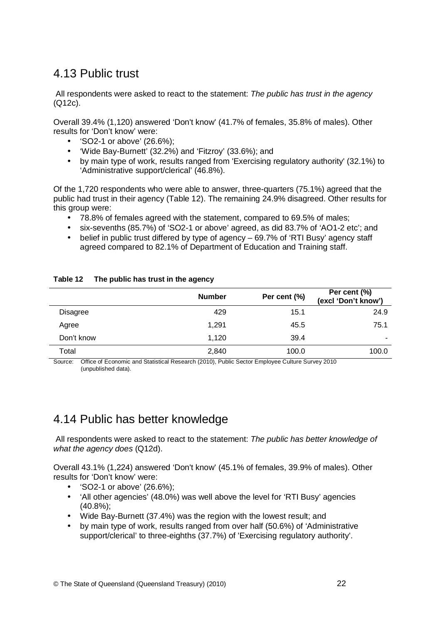## <span id="page-37-0"></span>4.13 Public trust

All respondents were asked to react to the statement: The public has trust in the agency (Q12c).

Overall 39.4% (1,120) answered 'Don't know' (41.7% of females, 35.8% of males). Other results for 'Don't know' were:

- 'SO2-1 or above' (26.6%);
- 'Wide Bay-Burnett' (32.2%) and 'Fitzroy' (33.6%); and
- by main type of work, results ranged from 'Exercising regulatory authority' (32.1%) to 'Administrative support/clerical' (46.8%).

Of the 1,720 respondents who were able to answer, three-quarters (75.1%) agreed that the public had trust in their agency (Table 12). The remaining 24.9% disagreed. Other results for this group were:

- 78.8% of females agreed with the statement, compared to 69.5% of males;
- six-sevenths (85.7%) of 'SO2-1 or above' agreed, as did 83.7% of 'AO1-2 etc'; and
- belief in public trust differed by type of agency 69.7% of 'RTI Busy' agency staff agreed compared to 82.1% of Department of Education and Training staff.

|                 | <b>Number</b> | Per cent (%) | Per cent (%)<br>(excl 'Don't know') |
|-----------------|---------------|--------------|-------------------------------------|
| <b>Disagree</b> | 429           | 15.1         | 24.9                                |
| Agree           | 1.291         | 45.5         | 75.1                                |
| Don't know      | 1,120         | 39.4         | ۰                                   |
| Total           | 2,840         | 100.0        | 100.0                               |

#### **Table 12 The public has trust in the agency**

Source: Office of Economic and Statistical Research (2010), Public Sector Employee Culture Survey 2010 (unpublished data).

## 4.14 Public has better knowledge

All respondents were asked to react to the statement: The public has better knowledge of what the agency does (Q12d).

Overall 43.1% (1,224) answered 'Don't know' (45.1% of females, 39.9% of males). Other results for 'Don't know' were:

- 'SO2-1 or above' (26.6%);
- 'All other agencies' (48.0%) was well above the level for 'RTI Busy' agencies (40.8%);
- Wide Bay-Burnett (37.4%) was the region with the lowest result; and
- by main type of work, results ranged from over half (50.6%) of 'Administrative support/clerical' to three-eighths (37.7%) of 'Exercising regulatory authority'.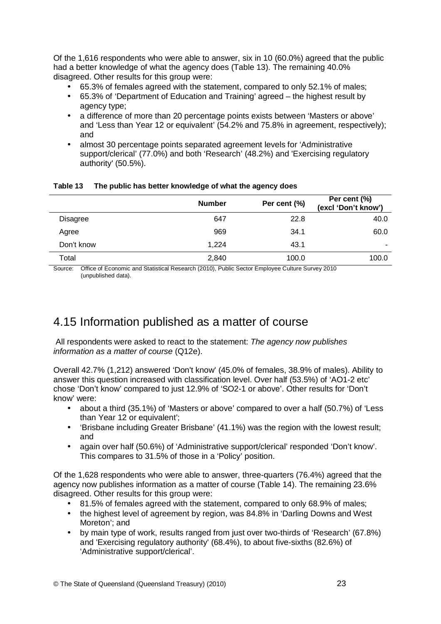<span id="page-38-0"></span>Of the 1,616 respondents who were able to answer, six in 10 (60.0%) agreed that the public had a better knowledge of what the agency does (Table 13). The remaining 40.0% disagreed. Other results for this group were:

- 65.3% of females agreed with the statement, compared to only 52.1% of males;
- 65.3% of 'Department of Education and Training' agreed the highest result by agency type;
- a difference of more than 20 percentage points exists between 'Masters or above' and 'Less than Year 12 or equivalent' (54.2% and 75.8% in agreement, respectively); and
- almost 30 percentage points separated agreement levels for 'Administrative support/clerical' (77.0%) and both 'Research' (48.2%) and 'Exercising regulatory authority' (50.5%).

| <b>Number</b> | Per cent (%) | Per cent (%)<br>(excl 'Don't know') |
|---------------|--------------|-------------------------------------|
| 647           | 22.8         | 40.0                                |
| 969           | 34.1         | 60.0                                |
| 1,224         | 43.1         | -                                   |
| 2,840         | 100.0        | 100.0                               |
|               |              |                                     |

#### **Table 13 The public has better knowledge of what the agency does**

Source: Office of Economic and Statistical Research (2010), Public Sector Employee Culture Survey 2010 (unpublished data).

### 4.15 Information published as a matter of course

 All respondents were asked to react to the statement: The agency now publishes information as a matter of course (Q12e).

Overall 42.7% (1,212) answered 'Don't know' (45.0% of females, 38.9% of males). Ability to answer this question increased with classification level. Over half (53.5%) of 'AO1-2 etc' chose 'Don't know' compared to just 12.9% of 'SO2-1 or above'. Other results for 'Don't know' were:

- about a third (35.1%) of 'Masters or above' compared to over a half (50.7%) of 'Less than Year 12 or equivalent';
- 'Brisbane including Greater Brisbane' (41.1%) was the region with the lowest result; and
- again over half (50.6%) of 'Administrative support/clerical' responded 'Don't know'. This compares to 31.5% of those in a 'Policy' position.

Of the 1,628 respondents who were able to answer, three-quarters (76.4%) agreed that the agency now publishes information as a matter of course (Table 14). The remaining 23.6% disagreed. Other results for this group were:

- 81.5% of females agreed with the statement, compared to only 68.9% of males;
- the highest level of agreement by region, was 84.8% in 'Darling Downs and West Moreton'; and
- by main type of work, results ranged from just over two-thirds of 'Research' (67.8%) and 'Exercising regulatory authority' (68.4%), to about five-sixths (82.6%) of 'Administrative support/clerical'.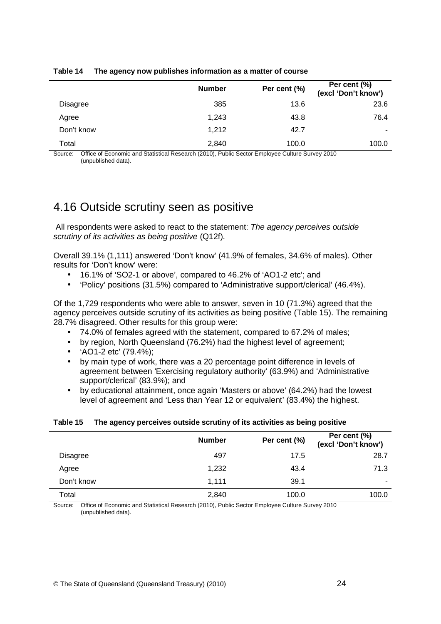|                 | <b>Number</b> | Per cent (%) | Per cent (%)<br>(excl 'Don't know') |
|-----------------|---------------|--------------|-------------------------------------|
| <b>Disagree</b> | 385           | 13.6         | 23.6                                |
| Agree           | 1.243         | 43.8         | 76.4                                |
| Don't know      | 1,212         | 42.7         |                                     |
| Total           | 2,840         | 100.0        | 100.0                               |

#### <span id="page-39-0"></span>**Table 14 The agency now publishes information as a matter of course**

Source: Office of Economic and Statistical Research (2010), Public Sector Employee Culture Survey 2010 (unpublished data).

### 4.16 Outside scrutiny seen as positive

All respondents were asked to react to the statement: The agency perceives outside scrutiny of its activities as being positive (Q12f).

Overall 39.1% (1,111) answered 'Don't know' (41.9% of females, 34.6% of males). Other results for 'Don't know' were:

- 16.1% of 'SO2-1 or above', compared to 46.2% of 'AO1-2 etc'; and
- 'Policy' positions (31.5%) compared to 'Administrative support/clerical' (46.4%).

Of the 1,729 respondents who were able to answer, seven in 10 (71.3%) agreed that the agency perceives outside scrutiny of its activities as being positive (Table 15). The remaining 28.7% disagreed. Other results for this group were:

- 74.0% of females agreed with the statement, compared to 67.2% of males;
- by region, North Queensland (76.2%) had the highest level of agreement;
- 'AO1-2 etc' (79.4%);
- by main type of work, there was a 20 percentage point difference in levels of agreement between 'Exercising regulatory authority' (63.9%) and 'Administrative support/clerical' (83.9%); and
- by educational attainment, once again 'Masters or above' (64.2%) had the lowest level of agreement and 'Less than Year 12 or equivalent' (83.4%) the highest.

#### **Table 15 The agency perceives outside scrutiny of its activities as being positive**

|                 | <b>Number</b> | Per cent (%) | Per cent (%)<br>(excl 'Don't know') |
|-----------------|---------------|--------------|-------------------------------------|
| <b>Disagree</b> | 497           | 17.5         | 28.7                                |
| Agree           | 1,232         | 43.4         | 71.3                                |
| Don't know      | 1.111         | 39.1         | -                                   |
| Total           | 2,840         | 100.0        | 100.0                               |

Source: Office of Economic and Statistical Research (2010), Public Sector Employee Culture Survey 2010 (unpublished data).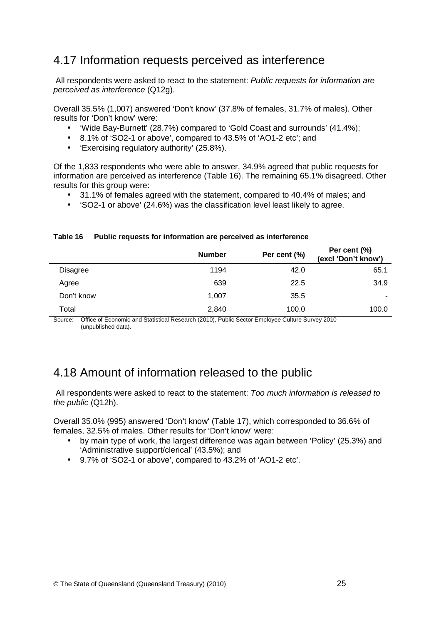### <span id="page-40-0"></span>4.17 Information requests perceived as interference

 All respondents were asked to react to the statement: Public requests for information are perceived as interference (Q12g).

Overall 35.5% (1,007) answered 'Don't know' (37.8% of females, 31.7% of males). Other results for 'Don't know' were:

- 'Wide Bay-Burnett' (28.7%) compared to 'Gold Coast and surrounds' (41.4%);
- 8.1% of 'SO2-1 or above', compared to 43.5% of 'AO1-2 etc'; and
- 'Exercising regulatory authority' (25.8%).

Of the 1,833 respondents who were able to answer, 34.9% agreed that public requests for information are perceived as interference (Table 16). The remaining 65.1% disagreed. Other results for this group were:

- 31.1% of females agreed with the statement, compared to 40.4% of males; and
- 'SO2-1 or above' (24.6%) was the classification level least likely to agree.

#### **Table 16 Public requests for information are perceived as interference**

|                 | <b>Number</b> | Per cent (%) | Per cent (%)<br>(excl 'Don't know') |
|-----------------|---------------|--------------|-------------------------------------|
| <b>Disagree</b> | 1194          | 42.0         | 65.1                                |
| Agree           | 639           | 22.5         | 34.9                                |
| Don't know      | 1.007         | 35.5         | ۰                                   |
| Total           | 2,840         | 100.0        | 100.0                               |

Source: Office of Economic and Statistical Research (2010), Public Sector Employee Culture Survey 2010 (unpublished data).

### 4.18 Amount of information released to the public

 All respondents were asked to react to the statement: Too much information is released to the public (Q12h).

Overall 35.0% (995) answered 'Don't know' (Table 17), which corresponded to 36.6% of females, 32.5% of males. Other results for 'Don't know' were:

- by main type of work, the largest difference was again between 'Policy' (25.3%) and 'Administrative support/clerical' (43.5%); and
- 9.7% of 'SO2-1 or above', compared to 43.2% of 'AO1-2 etc'.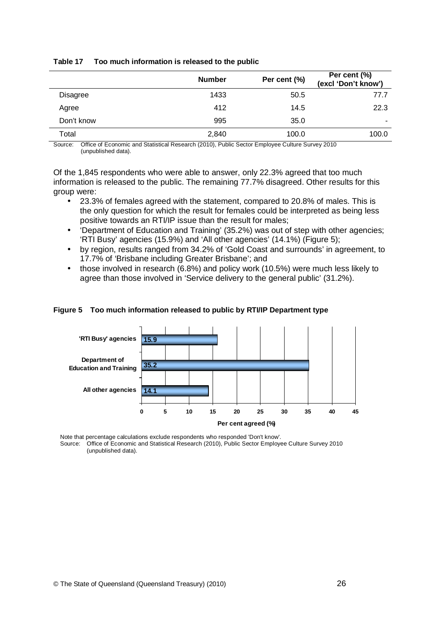|                 | <b>Number</b> | Per cent (%) | Per cent (%)<br>(excl 'Don't know') |
|-----------------|---------------|--------------|-------------------------------------|
| <b>Disagree</b> | 1433          | 50.5         | 77.7                                |
| Agree           | 412           | 14.5         | 22.3                                |
| Don't know      | 995           | 35.0         | ۰                                   |
| Total           | 2,840         | 100.0        | 100.0                               |

#### <span id="page-41-0"></span>**Table 17 Too much information is released to the public**

Source: Office of Economic and Statistical Research (2010), Public Sector Employee Culture Survey 2010 (unpublished data).

Of the 1,845 respondents who were able to answer, only 22.3% agreed that too much information is released to the public. The remaining 77.7% disagreed. Other results for this group were:

- 23.3% of females agreed with the statement, compared to 20.8% of males. This is the only question for which the result for females could be interpreted as being less positive towards an RTI/IP issue than the result for males;
- 'Department of Education and Training' (35.2%) was out of step with other agencies; 'RTI Busy' agencies (15.9%) and 'All other agencies' (14.1%) (Figure 5);
- by region, results ranged from 34.2% of 'Gold Coast and surrounds' in agreement, to 17.7% of 'Brisbane including Greater Brisbane'; and
- those involved in research (6.8%) and policy work (10.5%) were much less likely to agree than those involved in 'Service delivery to the general public' (31.2%).

#### **Figure 5 Too much information released to public by RTI/IP Department type**



Note that percentage calculations exclude respondents who responded 'Don't know'.<br>Source: Office of Economic and Statistical Research (2010), Public Sector Employe Office of Economic and Statistical Research (2010), Public Sector Employee Culture Survey 2010 (unpublished data).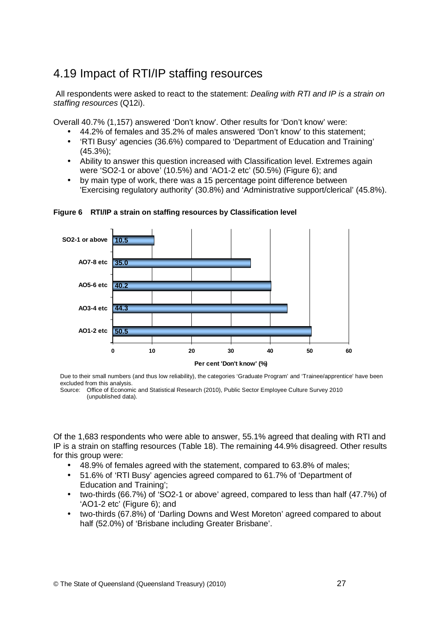# <span id="page-42-0"></span>4.19 Impact of RTI/IP staffing resources

All respondents were asked to react to the statement: Dealing with RTI and IP is a strain on staffing resources (Q12i).

Overall 40.7% (1,157) answered 'Don't know'. Other results for 'Don't know' were:

- 44.2% of females and 35.2% of males answered 'Don't know' to this statement;
- 'RTI Busy' agencies (36.6%) compared to 'Department of Education and Training' (45.3%);
- Ability to answer this question increased with Classification level. Extremes again were 'SO2-1 or above' (10.5%) and 'AO1-2 etc' (50.5%) (Figure 6); and
- by main type of work, there was a 15 percentage point difference between 'Exercising regulatory authority' (30.8%) and 'Administrative support/clerical' (45.8%).



**Figure 6 RTI/IP a strain on staffing resources by Classification level** 

Due to their small numbers (and thus low reliability), the categories 'Graduate Program' and 'Trainee/apprentice' have been excluded from this analysis.

Source: Office of Economic and Statistical Research (2010), Public Sector Employee Culture Survey 2010 (unpublished data).

Of the 1,683 respondents who were able to answer, 55.1% agreed that dealing with RTI and IP is a strain on staffing resources (Table 18). The remaining 44.9% disagreed. Other results for this group were:

- 48.9% of females agreed with the statement, compared to 63.8% of males;
- 51.6% of 'RTI Busy' agencies agreed compared to 61.7% of 'Department of Education and Training';
- two-thirds (66.7%) of 'SO2-1 or above' agreed, compared to less than half (47.7%) of 'AO1-2 etc' (Figure 6); and
- two-thirds (67.8%) of 'Darling Downs and West Moreton' agreed compared to about half (52.0%) of 'Brisbane including Greater Brisbane'.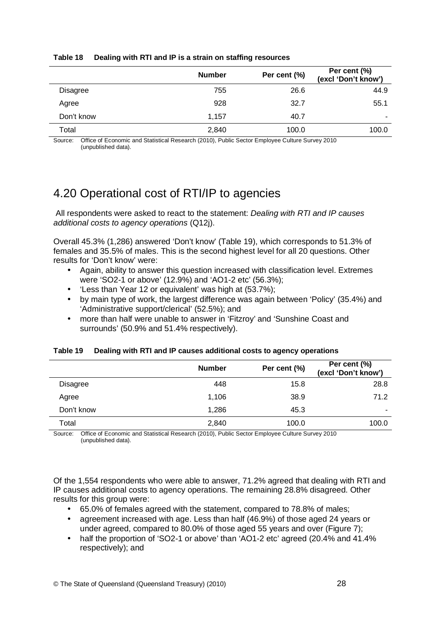|                 | <b>Number</b> | Per cent (%) | Per cent (%)<br>(excl 'Don't know') |
|-----------------|---------------|--------------|-------------------------------------|
| <b>Disagree</b> | 755           | 26.6         | 44.9                                |
| Agree           | 928           | 32.7         | 55.1                                |
| Don't know      | 1.157         | 40.7         | -                                   |
| Total           | 2,840         | 100.0        | 100.0                               |

#### <span id="page-43-0"></span>**Table 18 Dealing with RTI and IP is a strain on staffing resources**

Source: Office of Economic and Statistical Research (2010), Public Sector Employee Culture Survey 2010 (unpublished data).

# 4.20 Operational cost of RTI/IP to agencies

 All respondents were asked to react to the statement: Dealing with RTI and IP causes additional costs to agency operations (Q12j).

Overall 45.3% (1,286) answered 'Don't know' (Table 19), which corresponds to 51.3% of females and 35.5% of males. This is the second highest level for all 20 questions. Other results for 'Don't know' were:

- Again, ability to answer this question increased with classification level. Extremes were 'SO2-1 or above' (12.9%) and 'AO1-2 etc' (56.3%);
- 'Less than Year 12 or equivalent' was high at (53.7%);
- by main type of work, the largest difference was again between 'Policy' (35.4%) and 'Administrative support/clerical' (52.5%); and
- more than half were unable to answer in 'Fitzroy' and 'Sunshine Coast and surrounds' (50.9% and 51.4% respectively).

|  | Table 19 Dealing with RTI and IP causes additional costs to agency operations |
|--|-------------------------------------------------------------------------------|
|--|-------------------------------------------------------------------------------|

|                 | <b>Number</b> | Per cent (%) | Per cent (%)<br>(excl 'Don't know') |
|-----------------|---------------|--------------|-------------------------------------|
| <b>Disagree</b> | 448           | 15.8         | 28.8                                |
| Agree           | 1,106         | 38.9         | 71.2                                |
| Don't know      | 1,286         | 45.3         | -                                   |
| Total           | 2,840         | 100.0        | 100.0                               |

Source: Office of Economic and Statistical Research (2010), Public Sector Employee Culture Survey 2010 (unpublished data).

Of the 1,554 respondents who were able to answer, 71.2% agreed that dealing with RTI and IP causes additional costs to agency operations. The remaining 28.8% disagreed. Other results for this group were:

- 65.0% of females agreed with the statement, compared to 78.8% of males;
- agreement increased with age. Less than half (46.9%) of those aged 24 years or under agreed, compared to 80.0% of those aged 55 years and over (Figure 7);
- half the proportion of 'SO2-1 or above' than 'AO1-2 etc' agreed (20.4% and 41.4% respectively); and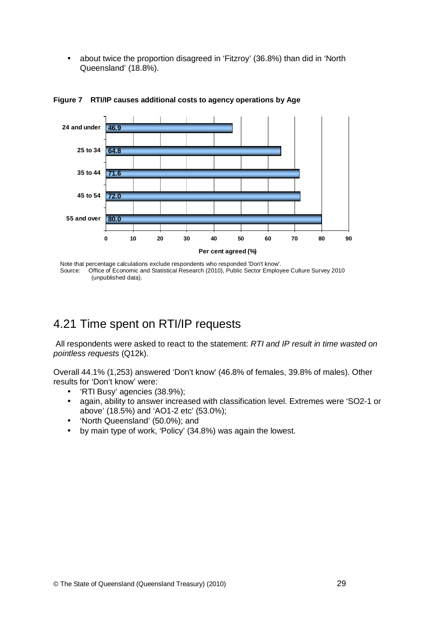<span id="page-44-0"></span>• about twice the proportion disagreed in 'Fitzroy' (36.8%) than did in 'North Queensland' (18.8%).



**Figure 7 RTI/IP causes additional costs to agency operations by Age** 

Note that percentage calculations exclude respondents who responded 'Don't know'.<br>Source: Office of Economic and Statistical Research (2010), Public Sector Employ Office of Economic and Statistical Research (2010), Public Sector Employee Culture Survey 2010 (unpublished data).

### 4.21 Time spent on RTI/IP requests

 All respondents were asked to react to the statement: RTI and IP result in time wasted on pointless requests (Q12k).

Overall 44.1% (1,253) answered 'Don't know' (46.8% of females, 39.8% of males). Other results for 'Don't know' were:

- 'RTI Busy' agencies (38.9%);
- again, ability to answer increased with classification level. Extremes were 'SO2-1 or above' (18.5%) and 'AO1-2 etc' (53.0%);
- 'North Queensland' (50.0%); and
- by main type of work, 'Policy' (34.8%) was again the lowest.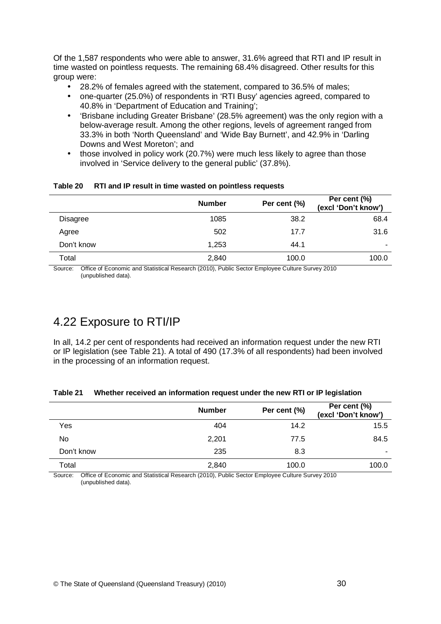<span id="page-45-0"></span>Of the 1,587 respondents who were able to answer, 31.6% agreed that RTI and IP result in time wasted on pointless requests. The remaining 68.4% disagreed. Other results for this group were:

- 28.2% of females agreed with the statement, compared to 36.5% of males;
- one-quarter (25.0%) of respondents in 'RTI Busy' agencies agreed, compared to 40.8% in 'Department of Education and Training';
- 'Brisbane including Greater Brisbane' (28.5% agreement) was the only region with a below-average result. Among the other regions, levels of agreement ranged from 33.3% in both 'North Queensland' and 'Wide Bay Burnett', and 42.9% in 'Darling Downs and West Moreton'; and
- those involved in policy work (20.7%) were much less likely to agree than those involved in 'Service delivery to the general public' (37.8%).

|                 | <b>Number</b> | Per cent (%) | Per cent (%)<br>(excl 'Don't know') |
|-----------------|---------------|--------------|-------------------------------------|
| <b>Disagree</b> | 1085          | 38.2         | 68.4                                |
| Agree           | 502           | 17.7         | 31.6                                |
| Don't know      | 1,253         | 44.1         |                                     |
| Total           | 2,840         | 100.0        | 100.0                               |

#### **Table 20 RTI and IP result in time wasted on pointless requests**

Source: Office of Economic and Statistical Research (2010), Public Sector Employee Culture Survey 2010 (unpublished data).

## 4.22 Exposure to RTI/IP

In all, 14.2 per cent of respondents had received an information request under the new RTI or IP legislation (see Table 21). A total of 490 (17.3% of all respondents) had been involved in the processing of an information request.

#### **Table 21 Whether received an information request under the new RTI or IP legislation**

|            | <b>Number</b> | Per cent (%) | Per cent (%)<br>(excl 'Don't know') |
|------------|---------------|--------------|-------------------------------------|
| Yes        | 404           | 14.2         | 15.5                                |
| No         | 2,201         | 77.5         | 84.5                                |
| Don't know | 235           | 8.3          | -                                   |
| Total      | 2,840         | 100.0        | 100.0                               |

Source: Office of Economic and Statistical Research (2010), Public Sector Employee Culture Survey 2010 (unpublished data).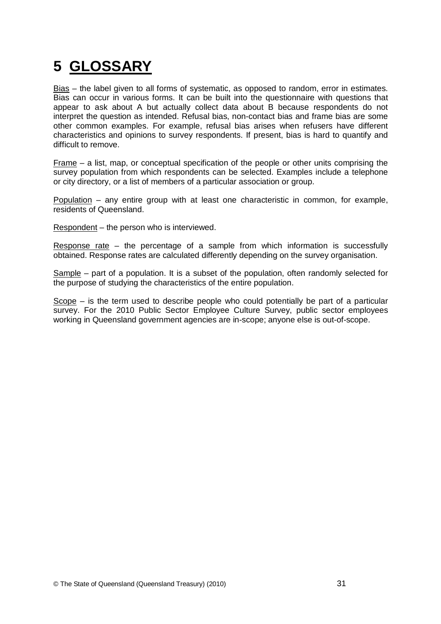# <span id="page-46-0"></span>**5 GLOSSARY**

Bias – the label given to all forms of systematic, as opposed to random, error in estimates. Bias can occur in various forms. It can be built into the questionnaire with questions that appear to ask about A but actually collect data about B because respondents do not interpret the question as intended. Refusal bias, non-contact bias and frame bias are some other common examples. For example, refusal bias arises when refusers have different characteristics and opinions to survey respondents. If present, bias is hard to quantify and difficult to remove.

Frame – a list, map, or conceptual specification of the people or other units comprising the survey population from which respondents can be selected. Examples include a telephone or city directory, or a list of members of a particular association or group.

Population – any entire group with at least one characteristic in common, for example, residents of Queensland.

Respondent – the person who is interviewed.

Response rate – the percentage of a sample from which information is successfully obtained. Response rates are calculated differently depending on the survey organisation.

Sample – part of a population. It is a subset of the population, often randomly selected for the purpose of studying the characteristics of the entire population.

Scope – is the term used to describe people who could potentially be part of a particular survey. For the 2010 Public Sector Employee Culture Survey, public sector employees working in Queensland government agencies are in-scope; anyone else is out-of-scope.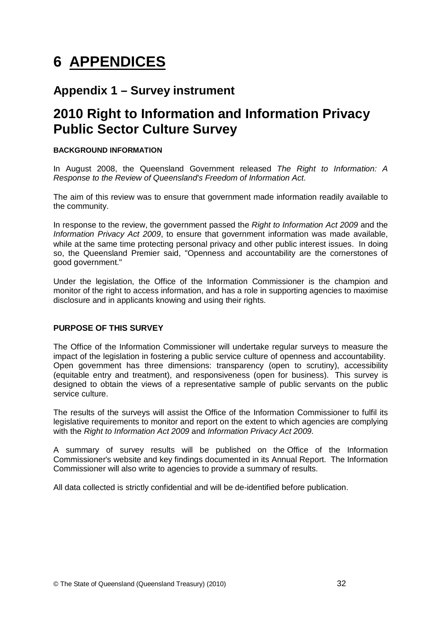# <span id="page-47-0"></span>**6 APPENDICES**

### **Appendix 1 – Survey instrument**

# **2010 Right to Information and Information Privacy Public Sector Culture Survey**

### **BACKGROUND INFORMATION**

In August 2008, the Queensland Government released The Right to Information: A Response to the Review of Queensland's Freedom of Information Act.

The aim of this review was to ensure that government made information readily available to the community.

In response to the review, the government passed the Right to Information Act 2009 and the Information Privacy Act 2009, to ensure that government information was made available, while at the same time protecting personal privacy and other public interest issues. In doing so, the Queensland Premier said, "Openness and accountability are the cornerstones of good government."

Under the legislation, the Office of the Information Commissioner is the champion and monitor of the right to access information, and has a role in supporting agencies to maximise disclosure and in applicants knowing and using their rights.

### **PURPOSE OF THIS SURVEY**

The Office of the Information Commissioner will undertake regular surveys to measure the impact of the legislation in fostering a public service culture of openness and accountability. Open government has three dimensions: transparency (open to scrutiny), accessibility (equitable entry and treatment), and responsiveness (open for business). This survey is designed to obtain the views of a representative sample of public servants on the public service culture.

The results of the surveys will assist the Office of the Information Commissioner to fulfil its legislative requirements to monitor and report on the extent to which agencies are complying with the Right to Information Act 2009 and Information Privacy Act 2009.

A summary of survey results will be published on the Office of the Information Commissioner's website and key findings documented in its Annual Report. The Information Commissioner will also write to agencies to provide a summary of results.

All data collected is strictly confidential and will be de-identified before publication.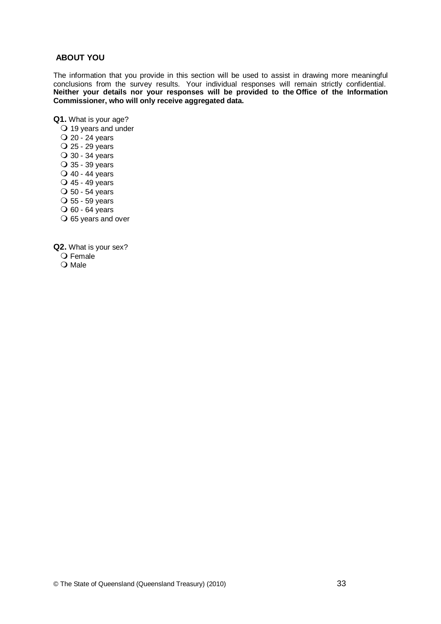#### **ABOUT YOU**

The information that you provide in this section will be used to assist in drawing more meaningful conclusions from the survey results. Your individual responses will remain strictly confidential. **Neither your details nor your responses will be provided to the Office of the Information Commissioner, who will only receive aggregated data.**

**Q1.** What is your age?

- 19 years and under
- 20 24 years 25 - 29 years 30 - 34 years 35 - 39 years 40 - 44 years 45 - 49 years 50 - 54 years 55 - 59 years
- $\overline{O}$  60 64 years
- 65 years and over

**Q2.** What is your sex?

- $\overline{O}$  Female
- O Male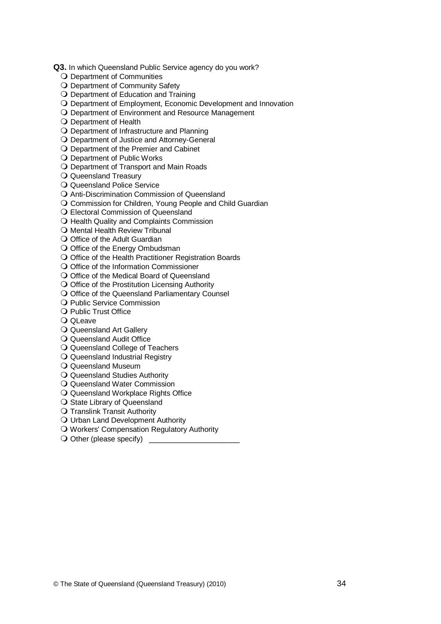**Q3.** In which Queensland Public Service agency do you work?

- O Department of Communities
- O Department of Community Safety
- O Department of Education and Training
- O Department of Employment, Economic Development and Innovation
- O Department of Environment and Resource Management
- O Department of Health
- Department of Infrastructure and Planning
- Department of Justice and Attorney-General
- O Department of the Premier and Cabinet
- O Department of Public Works
- Department of Transport and Main Roads
- Q Queensland Treasury
- Q Queensland Police Service
- Anti-Discrimination Commission of Queensland
- O Commission for Children, Young People and Child Guardian
- Electoral Commission of Queensland
- O Health Quality and Complaints Commission
- **O** Mental Health Review Tribunal
- O Office of the Adult Guardian
- O Office of the Energy Ombudsman
- O Office of the Health Practitioner Registration Boards
- O Office of the Information Commissioner
- O Office of the Medical Board of Queensland
- $\bigcirc$  Office of the Prostitution Licensing Authority
- O Office of the Queensland Parliamentary Counsel
- O Public Service Commission
- O Public Trust Office
- Q OLeave
- Q Queensland Art Gallery
- Q Queensland Audit Office
- O Queensland College of Teachers
- Q Queensland Industrial Registry
- Q Queensland Museum
- Q Queensland Studies Authority
- Q Queensland Water Commission
- Q Queensland Workplace Rights Office
- O State Library of Queensland
- **O** Translink Transit Authority
- O Urban Land Development Authority
- O Workers' Compensation Regulatory Authority
- $\bigcirc$  Other (please specify)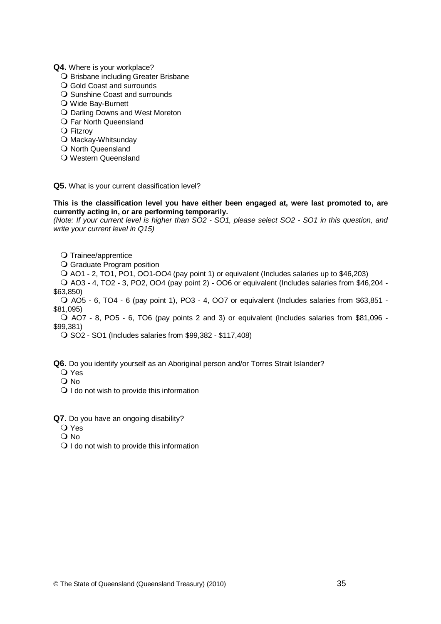#### **Q4.** Where is your workplace?

- O Brisbane including Greater Brisbane
- Q Gold Coast and surrounds
- O Sunshine Coast and surrounds
- Wide Bay-Burnett
- O Darling Downs and West Moreton
- O Far North Queensland
- **O** Fitzrov
- O Mackay-Whitsunday
- O North Queensland
- Western Queensland

**Q5.** What is your current classification level?

#### **This is the classification level you have either been engaged at, were last promoted to, are currently acting in, or are performing temporarily.**

(Note: If your current level is higher than SO2 - SO1, please select SO2 - SO1 in this question, and write your current level in Q15)

O Trainee/apprentice

O Graduate Program position

AO1 - 2, TO1, PO1, OO1-OO4 (pay point 1) or equivalent (Includes salaries up to \$46,203)

 AO3 - 4, TO2 - 3, PO2, OO4 (pay point 2) - OO6 or equivalent (Includes salaries from \$46,204 - \$63,850)

 AO5 - 6, TO4 - 6 (pay point 1), PO3 - 4, OO7 or equivalent (Includes salaries from \$63,851 - \$81,095)

 AO7 - 8, PO5 - 6, TO6 (pay points 2 and 3) or equivalent (Includes salaries from \$81,096 - \$99,381)

SO2 - SO1 (Includes salaries from \$99,382 - \$117,408)

**Q6.** Do you identify yourself as an Aboriginal person and/or Torres Strait Islander?

- Yes
- O No
- $\bigcirc$  I do not wish to provide this information

**Q7.** Do you have an ongoing disability?

- Yes
- O No
- O I do not wish to provide this information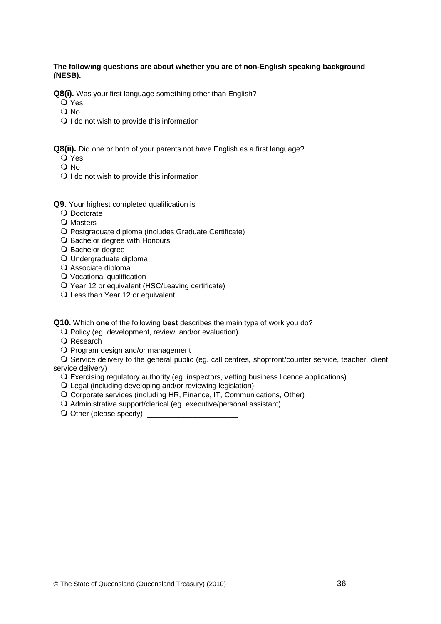#### **The following questions are about whether you are of non-English speaking background (NESB).**

**Q8(i).** Was your first language something other than English?

O Yes

 $\Omega$  No

- $\bigcirc$  I do not wish to provide this information
- **Q8(ii).** Did one or both of your parents not have English as a first language?
	- Yes
	- $\Omega$  No
	- $\bigcirc$  I do not wish to provide this information
- **Q9.** Your highest completed qualification is
	- O Doctorate
	- O Masters
	- Postgraduate diploma (includes Graduate Certificate)
	- O Bachelor degree with Honours
	- O Bachelor degree
	- Undergraduate diploma
	- O Associate diploma
	- Vocational qualification
	- Year 12 or equivalent (HSC/Leaving certificate)
	- Q Less than Year 12 or equivalent

**Q10.** Which **one** of the following **best** describes the main type of work you do?

Policy (eg. development, review, and/or evaluation)

- O Research
- O Program design and/or management

O Service delivery to the general public (eg. call centres, shopfront/counter service, teacher, client service delivery)

- Exercising regulatory authority (eg. inspectors, vetting business licence applications)
- Legal (including developing and/or reviewing legislation)
- Corporate services (including HR, Finance, IT, Communications, Other)
- Administrative support/clerical (eg. executive/personal assistant)
- $\bigcirc$  Other (please specify)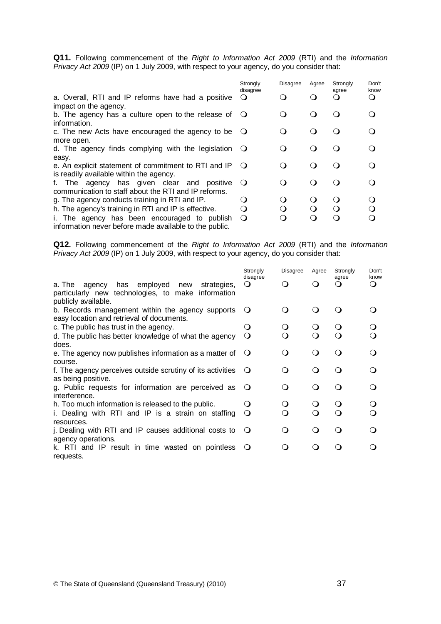Q11. Following commencement of the Right to Information Act 2009 (RTI) and the Information Privacy Act 2009 (IP) on 1 July 2009, with respect to your agency, do you consider that:

|                                                               | Strongly<br>disagree | <b>Disagree</b> | Agree                | Strongly<br>agree | Don't<br>know |
|---------------------------------------------------------------|----------------------|-----------------|----------------------|-------------------|---------------|
| a. Overall, RTI and IP reforms have had a positive            |                      |                 |                      |                   | ∩             |
| impact on the agency.                                         |                      |                 |                      |                   |               |
| b. The agency has a culture open to the release of $\bigcirc$ |                      | $\Omega$        | $\left( \right)$     | $\Omega$          |               |
| information.                                                  |                      |                 |                      |                   |               |
| c. The new Acts have encouraged the agency to be $\bigcirc$   |                      | $\Omega$        | $\left( \right)$     | Ω.                |               |
| more open.                                                    |                      |                 |                      |                   |               |
| d. The agency finds complying with the legislation            | $\circ$              | $\Omega$        | $\Omega$             | $\Omega$          |               |
| easy.                                                         |                      |                 |                      |                   |               |
| e. An explicit statement of commitment to RTI and IP          | $\circ$              | $\Omega$        | $\Omega$             | ∩                 |               |
| is readily available within the agency.                       |                      |                 |                      |                   |               |
| f. The agency has given clear and<br>positive                 | $\cup$               | 0               |                      | ∩                 |               |
| communication to staff about the RTI and IP reforms.          |                      |                 |                      |                   |               |
| g. The agency conducts training in RTI and IP.                |                      | $\Omega$        | $\ddot{\phantom{0}}$ | $\Omega$          | ( )           |
| h. The agency's training in RTI and IP is effective.          | 0                    | O               |                      | ∩                 | ∩             |
| i. The agency has been encouraged to publish                  | $\Omega$             | ∩               |                      | ∩                 |               |
| information never before made available to the public.        |                      |                 |                      |                   |               |

Q12. Following commencement of the Right to Information Act 2009 (RTI) and the Information Privacy Act 2009 (IP) on 1 July 2009, with respect to your agency, do you consider that:

|                                                                                                                                  | Strongly<br>disagree | <b>Disagree</b> | Agree            | Strongly<br>agree | Don't<br>know |
|----------------------------------------------------------------------------------------------------------------------------------|----------------------|-----------------|------------------|-------------------|---------------|
| has employed<br>a. The agency<br>new<br>strategies,<br>particularly new technologies, to make information<br>publicly available. | $\Omega$             | $\Omega$        |                  | 0                 | $\Omega$      |
| b. Records management within the agency supports<br>easy location and retrieval of documents.                                    | $\Omega$             | $\Omega$        |                  | ∩ )               |               |
| c. The public has trust in the agency.                                                                                           | Ő                    | $\circ$         |                  |                   |               |
| d. The public has better knowledge of what the agency<br>does.                                                                   | Q                    | Q               | ∩                | ∩                 | ∩             |
| e. The agency now publishes information as a matter of<br>course.                                                                | $\circ$              | Q               | $\left( \right)$ | ∩                 |               |
| f. The agency perceives outside scrutiny of its activities<br>as being positive.                                                 | $\circ$              | Q               | $\Omega$         | ∩                 |               |
| g. Public requests for information are perceived as<br>interference.                                                             | $\circ$              | ∩               |                  | ∩                 |               |
| h. Too much information is released to the public.                                                                               | O                    | O               |                  | $\Omega$          |               |
| i. Dealing with RTI and IP is a strain on staffing<br>resources.                                                                 | $\circ$              | ∩               |                  | ∩                 |               |
| j. Dealing with RTI and IP causes additional costs to<br>agency operations.                                                      | $\circ$              | ∩               | $\Omega$         | ∩                 |               |
| k. RTI and IP result in time wasted on pointless<br>requests.                                                                    | $\circ$              | ∩               |                  |                   |               |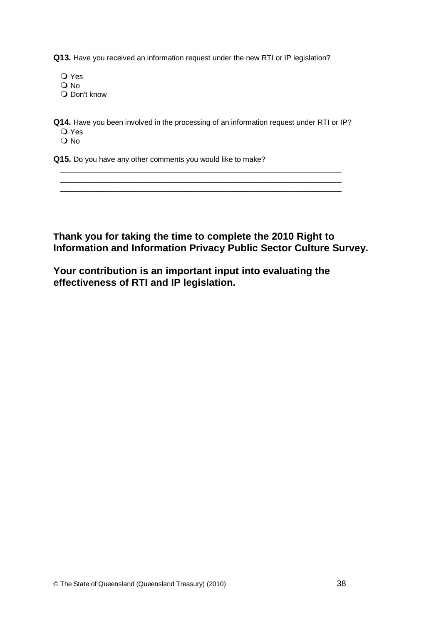**Q13.** Have you received an information request under the new RTI or IP legislation?

- O Yes
- O No
- Q Don't know

**Q14.** Have you been involved in the processing of an information request under RTI or IP? Yes

 $\frac{1}{2}$  ,  $\frac{1}{2}$  ,  $\frac{1}{2}$  ,  $\frac{1}{2}$  ,  $\frac{1}{2}$  ,  $\frac{1}{2}$  ,  $\frac{1}{2}$  ,  $\frac{1}{2}$  ,  $\frac{1}{2}$  ,  $\frac{1}{2}$  ,  $\frac{1}{2}$  ,  $\frac{1}{2}$  ,  $\frac{1}{2}$  ,  $\frac{1}{2}$  ,  $\frac{1}{2}$  ,  $\frac{1}{2}$  ,  $\frac{1}{2}$  ,  $\frac{1}{2}$  ,  $\frac{1$ 

 $\Omega$  No

**Q15.** Do you have any other comments you would like to make?

### **Thank you for taking the time to complete the 2010 Right to Information and Information Privacy Public Sector Culture Survey.**

**Your contribution is an important input into evaluating the effectiveness of RTI and IP legislation.**